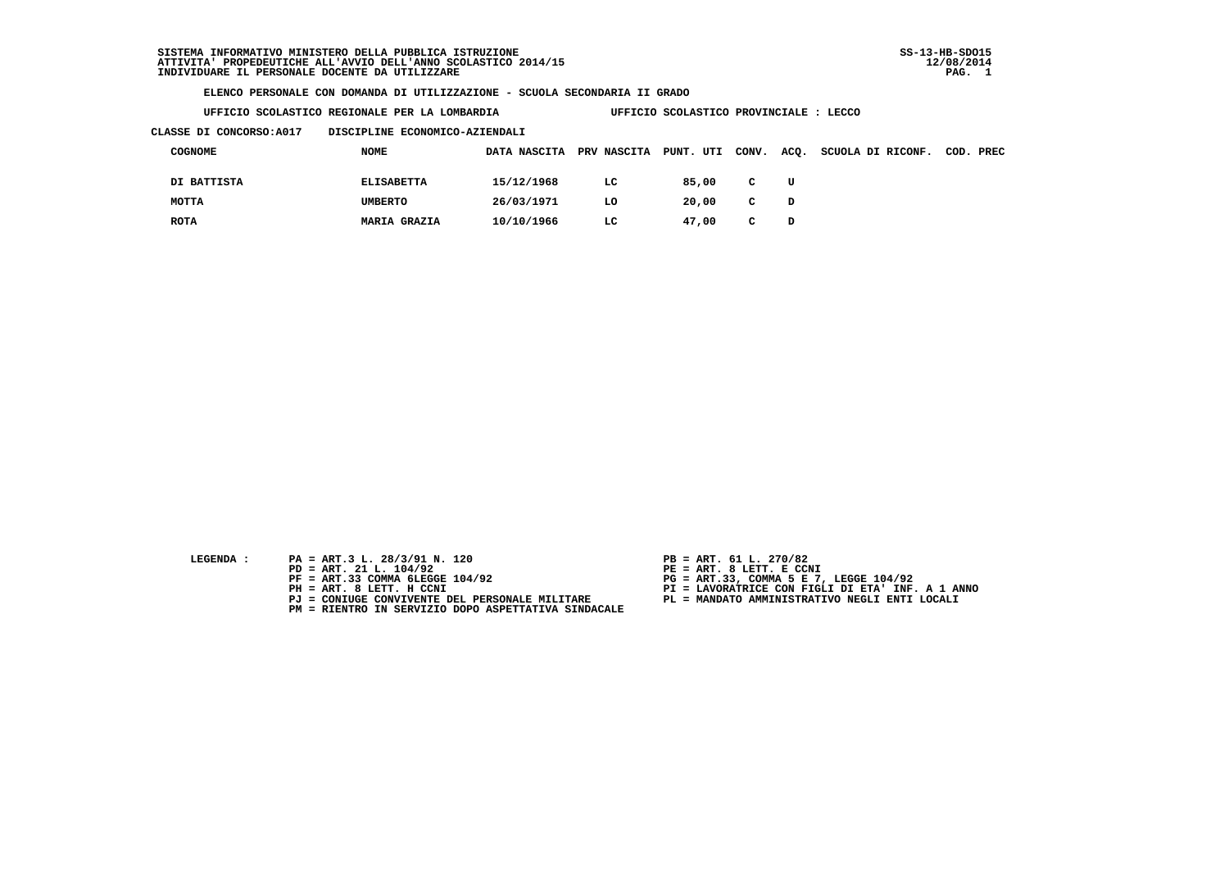**UFFICIO SCOLASTICO REGIONALE PER LA LOMBARDIA UFFICIO SCOLASTICO PROVINCIALE : LECCO**

 **CLASSE DI CONCORSO:A017 DISCIPLINE ECONOMICO-AZIENDALI**

| COGNOME     | <b>NOME</b>         | DATA NASCITA | PRV NASCITA PUNT. UTI |       | CONV.        | ACQ. | SCUOLA DI RICONF. | COD. PREC |
|-------------|---------------------|--------------|-----------------------|-------|--------------|------|-------------------|-----------|
| DI BATTISTA | <b>ELISABETTA</b>   | 15/12/1968   | LC                    | 85,00 | $\mathbf{C}$ | U    |                   |           |
| MOTTA       | <b>UMBERTO</b>      | 26/03/1971   | LO                    | 20,00 | $\mathbf{C}$ | D    |                   |           |
| <b>ROTA</b> | <b>MARIA GRAZIA</b> | 10/10/1966   | LC.                   | 47,00 | C.           | D    |                   |           |

- **LEGENDA :** PA = ART.3 L. 28/3/91 N. 120<br>PD = ART. 21 L. 104/92
	-
	-
	-
	-
	- **PM = RIENTRO IN SERVIZIO DOPO ASPETTATIVA SINDACALE**
- 
- **PD = ART. 21 L. 104/92 PE = ART. 8 LETT. E CCNI**
- **PF = ART.33 COMMA 6LEGGE 104/92 PG = ART.33, COMMA 5 E 7, LEGGE 104/92**
- **PH = ART. 8 LETT. H CCNI PI = LAVORATRICE CON FIGLI DI ETA' INF. A 1 ANNO**
	- **PJ = CONIUGE CONVIVENTE DEL PERSONALE MILITARE PL = MANDATO AMMINISTRATIVO NEGLI ENTI LOCALI**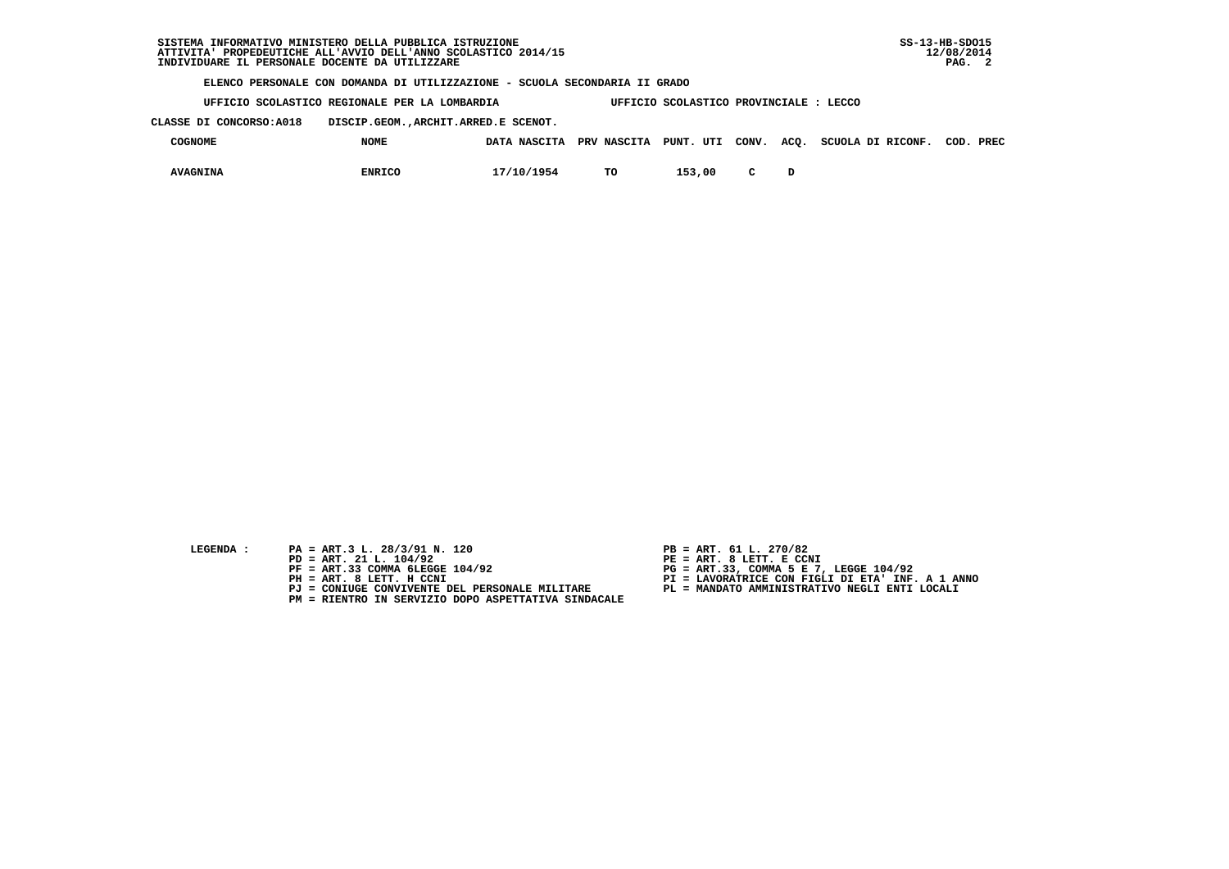**UFFICIO SCOLASTICO REGIONALE PER LA LOMBARDIA UFFICIO SCOLASTICO PROVINCIALE : LECCO**

 **CLASSE DI CONCORSO:A018 DISCIP.GEOM.,ARCHIT.ARRED.E SCENOT.**

| COGNOME         | <b>NOME</b>   | DATA NASCITA PRV NASCITA PUNT. UTI CONV. ACQ. |    |        |              | SCUOLA DI RICONF. | COD. PREC |
|-----------------|---------------|-----------------------------------------------|----|--------|--------------|-------------------|-----------|
| <b>AVAGNINA</b> | <b>ENRICO</b> | 17/10/1954                                    | TО | 153,00 | $\mathbf{C}$ |                   |           |

- **LEGENDA :** PA = ART.3 L. 28/3/91 N. 120 <br>PD = ART. 21 L. 104/92 <br>PE = ART. 8 LETT. E CCN
- **PD = ART. 21 L. 104/92 PE = ART. 8 LETT. E CCNI**
	-
	-
	-
	- **PM = RIENTRO IN SERVIZIO DOPO ASPETTATIVA SINDACALE**
- 
- 
- 
- **PF = ART.33 COMMA 6LEGGE 104/92 PG = ART.33, COMMA 5 E 7, LEGGE 104/92 PH = ART. 8 LETT. H CCNI PI = LAVORATRICE CON FIGLI DI ETA' INF. A 1 ANNO**
	- **PJ = CONIUGE CONVIVENTE DEL PERSONALE MILITARE PL = MANDATO AMMINISTRATIVO NEGLI ENTI LOCALI**
		-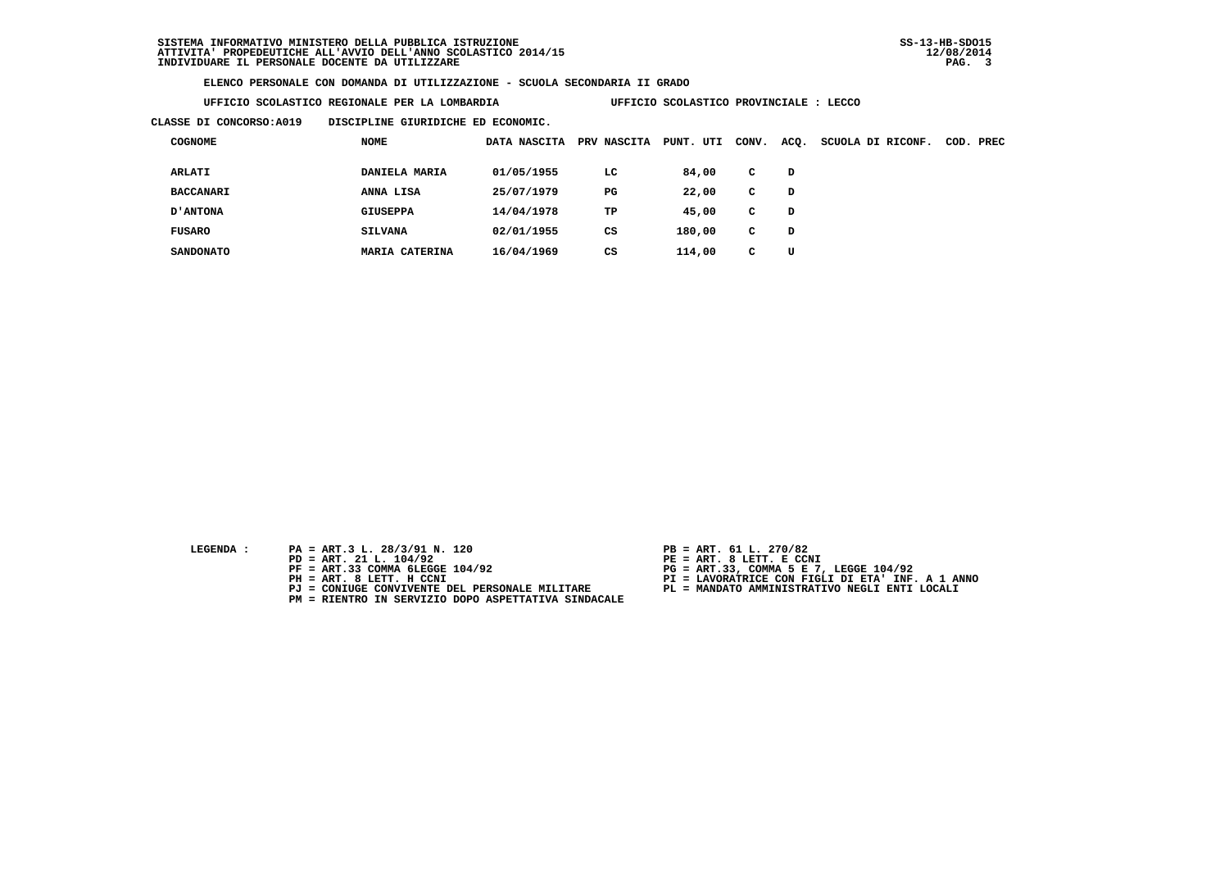**UFFICIO SCOLASTICO REGIONALE PER LA LOMBARDIA UFFICIO SCOLASTICO PROVINCIALE : LECCO**

 **CLASSE DI CONCORSO:A019 DISCIPLINE GIURIDICHE ED ECONOMIC.**

| <b>COGNOME</b>   | <b>NOME</b>     | DATA NASCITA | PRV NASCITA | PUNT.<br>UTI | CONV. | ACQ. | SCUOLA DI RICONF. | COD. | PREC |
|------------------|-----------------|--------------|-------------|--------------|-------|------|-------------------|------|------|
| <b>ARLATI</b>    | DANIELA MARIA   | 01/05/1955   | LC          | 84,00        | c     | D    |                   |      |      |
| <b>BACCANARI</b> | ANNA LISA       | 25/07/1979   | $_{\rm PG}$ | 22,00        | C     | D    |                   |      |      |
| <b>D'ANTONA</b>  | <b>GIUSEPPA</b> | 14/04/1978   | TP          | 45,00        | c     | D    |                   |      |      |
| <b>FUSARO</b>    | <b>SILVANA</b>  | 02/01/1955   | CS          | 180,00       | c.    | D    |                   |      |      |
| <b>SANDONATO</b> | MARIA CATERINA  | 16/04/1969   | CS          | 114,00       | c     | U    |                   |      |      |

- **LEGENDA :** PA = ART.3 L. 28/3/91 N. 120 <br>PD = ART. 21 L. 104/92 <br>PE = ART. 8 LETT. E CCN
- **PD = ART. 21 L. 104/92 PE = ART. 8 LETT. E CCNI**
	-
	-
	-
	- **PM = RIENTRO IN SERVIZIO DOPO ASPETTATIVA SINDACALE**
- 
- 
- 
- **PF = ART.33 COMMA 6LEGGE 104/92 PG = ART.33, COMMA 5 E 7, LEGGE 104/92 PH = ART. 8 LETT. H CCNI PI = LAVORATRICE CON FIGLI DI ETA' INF. A 1 ANNO**
	- **PJ = CONIUGE CONVIVENTE DEL PERSONALE MILITARE PL = MANDATO AMMINISTRATIVO NEGLI ENTI LOCALI**
		-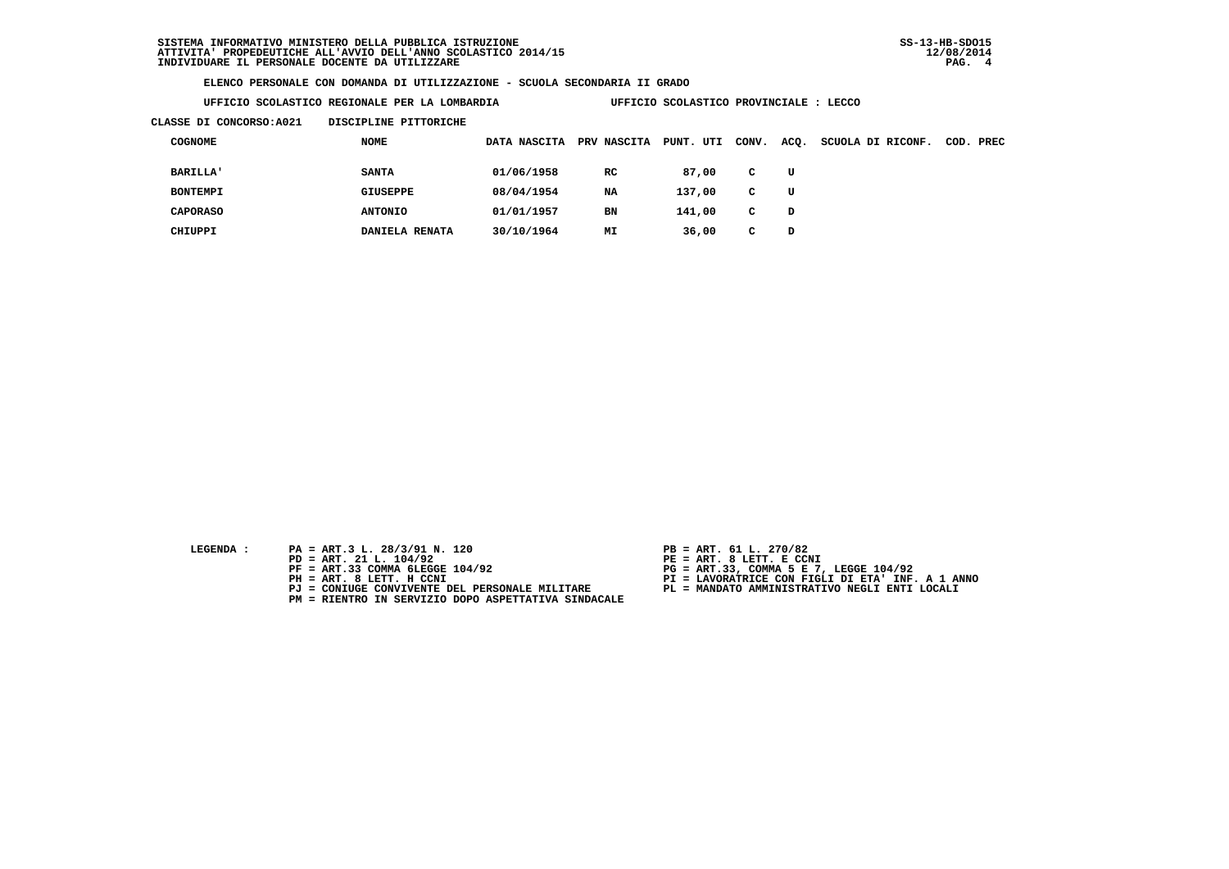**UFFICIO SCOLASTICO REGIONALE PER LA LOMBARDIA UFFICIO SCOLASTICO PROVINCIALE : LECCO**

## **CLASSE DI CONCORSO:A021 DISCIPLINE PITTORICHE**

| <b>COGNOME</b>  | NOME           | DATA NASCITA | <b>PRV NASCITA</b> | PUNT.<br>UTI | CONV. | ACQ. | SCUOLA DI RICONF. | COD. | PREC |
|-----------------|----------------|--------------|--------------------|--------------|-------|------|-------------------|------|------|
| <b>BARILLA'</b> | <b>SANTA</b>   | 01/06/1958   | RC                 | 87,00        | C     | U    |                   |      |      |
| <b>BONTEMPI</b> | GIUSEPPE       | 08/04/1954   | NA                 | 137,00       | C     | U    |                   |      |      |
| <b>CAPORASO</b> | <b>ANTONIO</b> | 01/01/1957   | BN                 | 141,00       | C     | D    |                   |      |      |
| CHIUPPI         | DANIELA RENATA | 30/10/1964   | MΙ                 | 36,00        | c     | D    |                   |      |      |

- **LEGENDA :** PA = ART.3 L. 28/3/91 N. 120 <br>PD = ART. 21 L. 104/92 <br>PE = ART. 8 LETT. E CCN
- **PD = ART. 21 L. 104/92 PE = ART. 8 LETT. E CCNI**
	-
	-
	-
	- **PM = RIENTRO IN SERVIZIO DOPO ASPETTATIVA SINDACALE**
- 
- 
- 
- **PF = ART.33 COMMA 6LEGGE 104/92 PG = ART.33, COMMA 5 E 7, LEGGE 104/92 PH = ART. 8 LETT. H CCNI PI = LAVORATRICE CON FIGLI DI ETA' INF. A 1 ANNO**
	- **PJ = CONIUGE CONVIVENTE DEL PERSONALE MILITARE PL = MANDATO AMMINISTRATIVO NEGLI ENTI LOCALI**
		-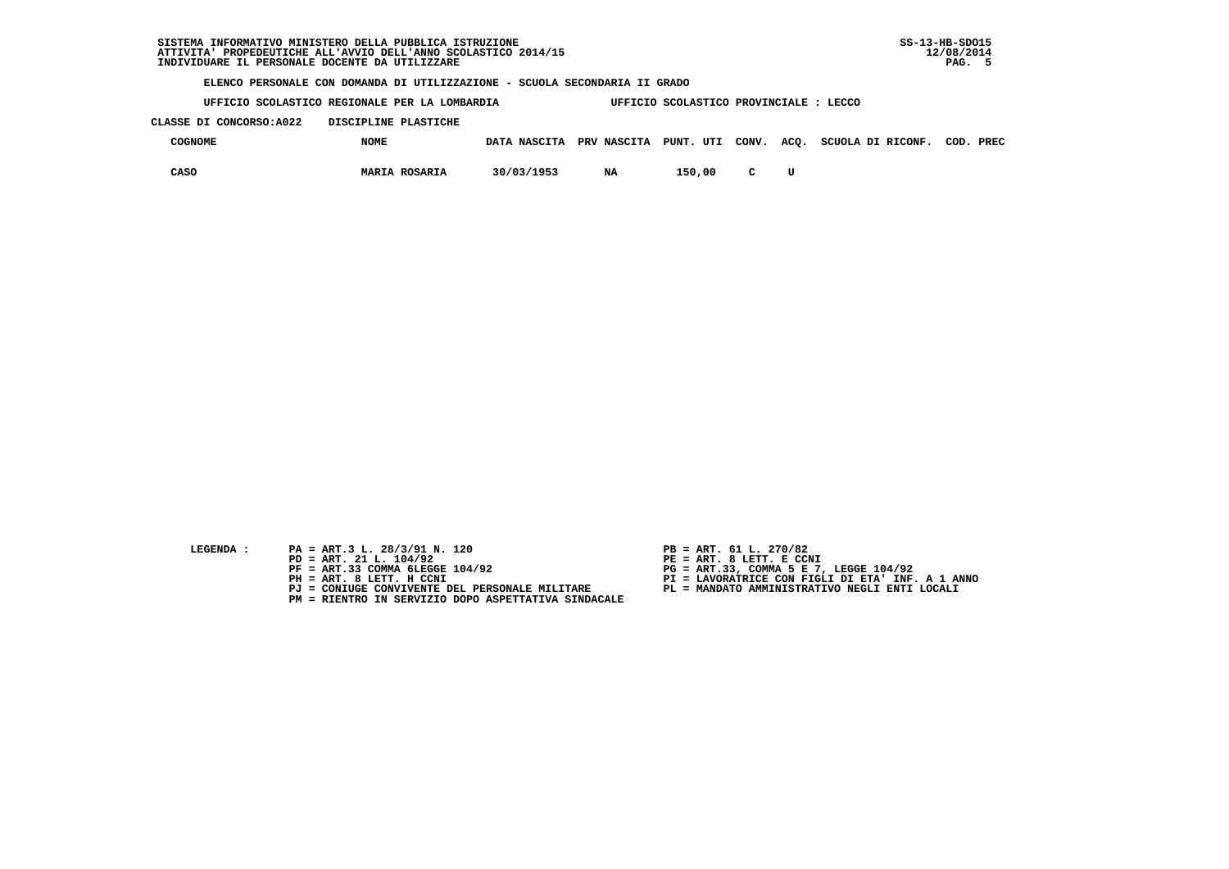**UFFICIO SCOLASTICO REGIONALE PER LA LOMBARDIA UFFICIO SCOLASTICO PROVINCIALE : LECCO**

 **CLASSE DI CONCORSO:A022 DISCIPLINE PLASTICHE**

| COGNOME | <b>NOME</b>          |            |    |        |              | DATA NASCITA PRV NASCITA PUNT. UTI CONV. ACQ. SCUOLA DI RICONF. | COD. PREC |  |
|---------|----------------------|------------|----|--------|--------------|-----------------------------------------------------------------|-----------|--|
| CASO    | <b>MARIA ROSARIA</b> | 30/03/1953 | NA | 150,00 | $\mathbf{C}$ |                                                                 |           |  |

- **LEGENDA :** PA = ART.3 L. 28/3/91 N. 120 <br>PD = ART. 21 L. 104/92 <br>PE = ART. 8 LETT. E CCN
- **PD = ART. 21 L. 104/92 PE = ART. 8 LETT. E CCNI**
	-
	-
	-
	- **PM = RIENTRO IN SERVIZIO DOPO ASPETTATIVA SINDACALE**
- 
- 
- 
- **PF = ART.33 COMMA 6LEGGE 104/92 PG = ART.33, COMMA 5 E 7, LEGGE 104/92 PH = ART. 8 LETT. H CCNI PI = LAVORATRICE CON FIGLI DI ETA' INF. A 1 ANNO**
	- **PJ = CONIUGE CONVIVENTE DEL PERSONALE MILITARE PL = MANDATO AMMINISTRATIVO NEGLI ENTI LOCALI**
		-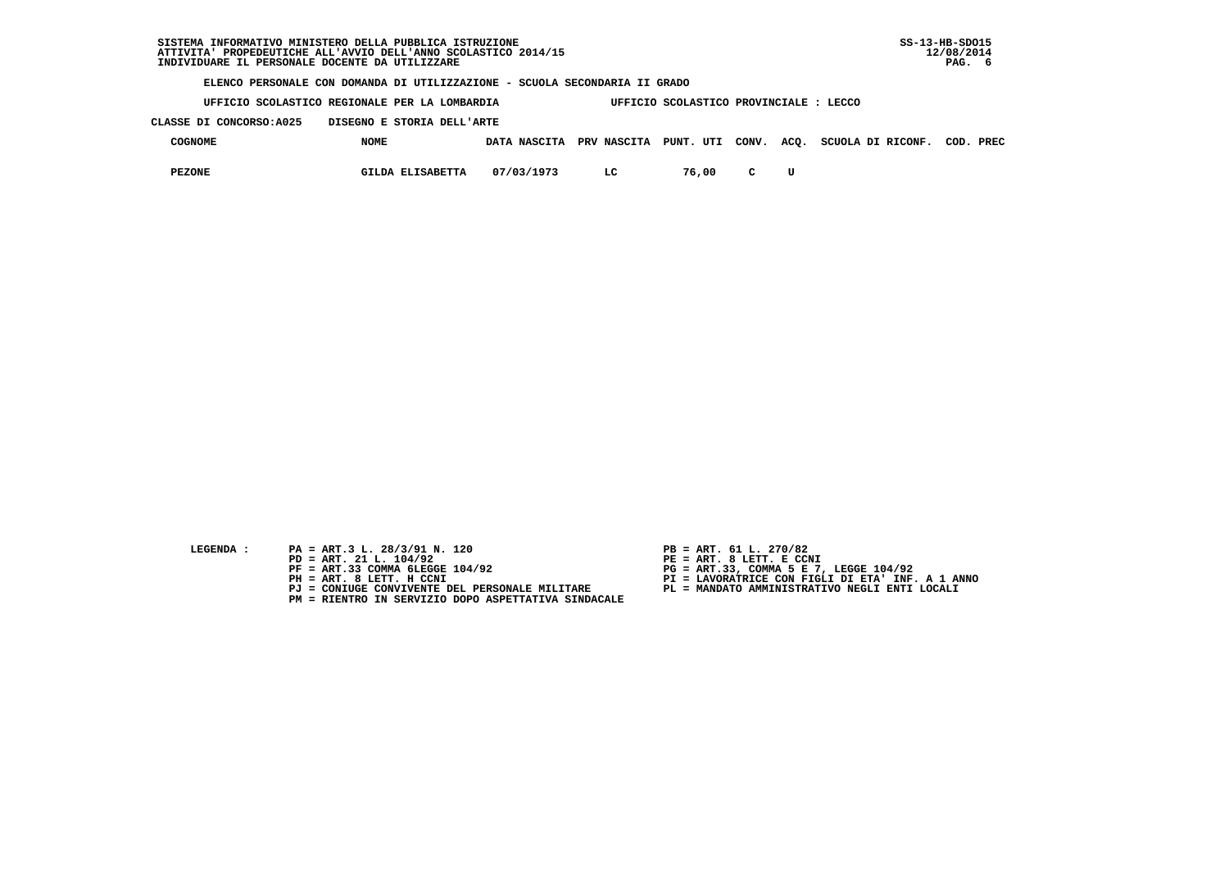| SISTEMA INFORMATIVO MINISTERO DELLA PUBBLICA ISTRUZIONE                    | $SS-13-HB-SDO15$ |
|----------------------------------------------------------------------------|------------------|
| ATTIVITA' PROPEDEUTICHE ALL'AVVIO DELL'ANNO SCOLASTICO 2014/15             | 12/08/2014       |
| INDIVIDUARE IL PERSONALE DOCENTE DA UTILIZZARE                             | PAG. 6           |
| ELENCO PERSONALE CON DOMANDA DI UTILIZZAZIONE - SCUOLA SECONDARIA II GRADO |                  |

 **UFFICIO SCOLASTICO REGIONALE PER LA LOMBARDIA UFFICIO SCOLASTICO PROVINCIALE : LECCO**

 **CLASSE DI CONCORSO:A025 DISEGNO E STORIA DELL'ARTE**

| <b>COGNOME</b> | <b>NOME</b>      | <b>NASCITA</b><br><b>DATA</b> | PRV NASCITA | PUNT. UTI | CONV. | ACQ. SCUOLA DI RICONF. | COD. | PREC |
|----------------|------------------|-------------------------------|-------------|-----------|-------|------------------------|------|------|
| <b>PEZONE</b>  | GILDA ELISABETTA | 07/03/1973                    | ∸           | 76,00     |       |                        |      |      |

- **LEGENDA :** PA = ART.3 L. 28/3/91 N. 120 <br>PD = ART. 21 L. 104/92 <br>PE = ART. 8 LETT. E CCN
	-
	-
	-
	-
	- **PM = RIENTRO IN SERVIZIO DOPO ASPETTATIVA SINDACALE**
- 
- 
- 
- **PD = ART. 21 L. 104/92 PE = ART. 8 LETT. E CCNI PF = ART.33 COMMA 6LEGGE 104/92 PG = ART.33, COMMA 5 E 7, LEGGE 104/92 PH = ART. 8 LETT. H CCNI PI = LAVORATRICE CON FIGLI DI ETA' INF. A 1 ANNO**
	- **PJ = CONIUGE CONVIVENTE DEL PERSONALE MILITARE PL = MANDATO AMMINISTRATIVO NEGLI ENTI LOCALI**
		-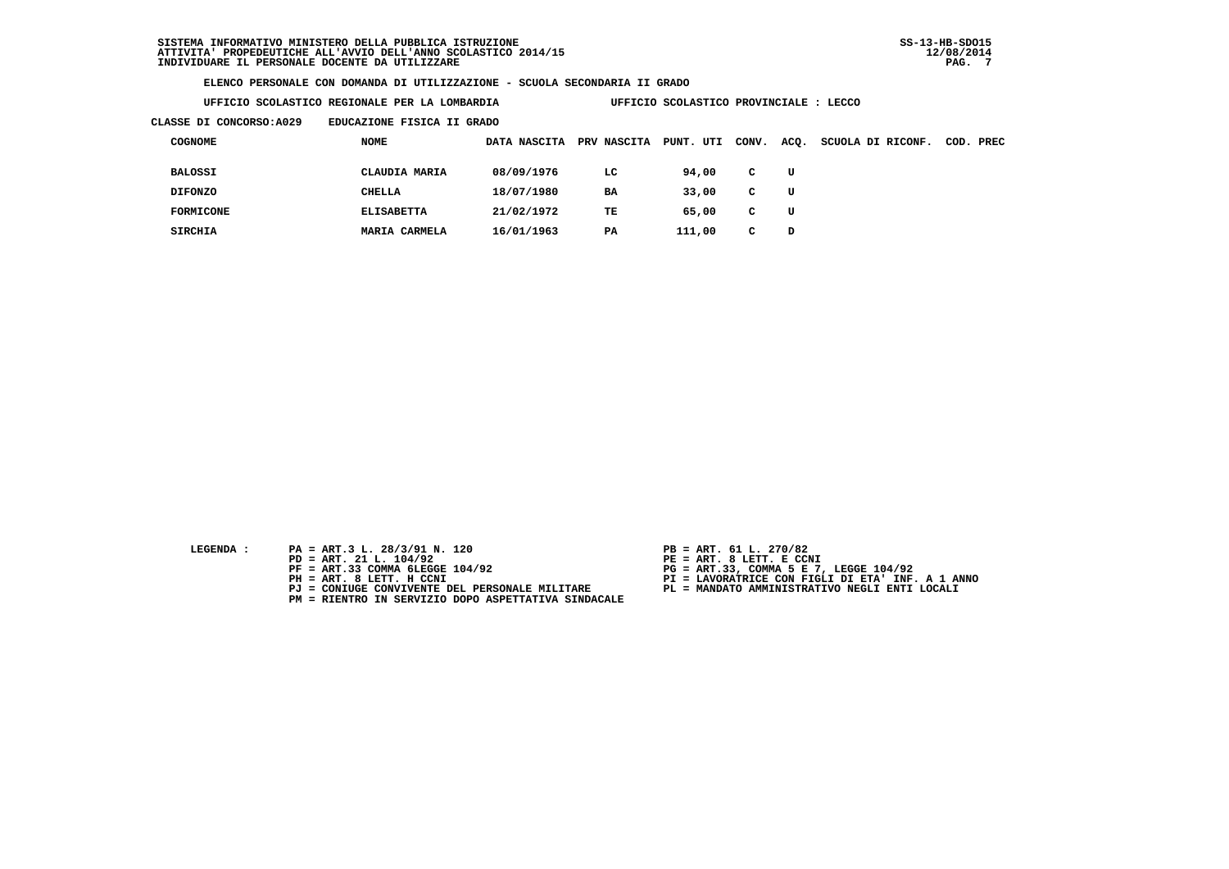| UFFICIO SCOLASTICO REGIONALE PER LA LOMBARDIA |  |  |  |
|-----------------------------------------------|--|--|--|
|-----------------------------------------------|--|--|--|

**UFFICIO SCOLASTICO PROVINCIALE : LECCO** 

 **CLASSE DI CONCORSO:A029 EDUCAZIONE FISICA II GRADO**

| <b>COGNOME</b>   | NOME              | DATA NASCITA | <b>PRV NASCITA</b> | PUNT. UTI | CONV. | ACQ. | SCUOLA DI RICONF. | COD. PREC |
|------------------|-------------------|--------------|--------------------|-----------|-------|------|-------------------|-----------|
| <b>BALOSSI</b>   | CLAUDIA MARIA     | 08/09/1976   | LC                 | 94,00     | C     | U    |                   |           |
| <b>DIFONZO</b>   | CHELLA            | 18/07/1980   | <b>BA</b>          | 33,00     | C     | U    |                   |           |
| <b>FORMICONE</b> | <b>ELISABETTA</b> | 21/02/1972   | TE                 | 65,00     | C     | U    |                   |           |
| <b>SIRCHIA</b>   | MARIA CARMELA     | 16/01/1963   | PA                 | 111,00    | c     | D    |                   |           |

- **LEGENDA :** PA = ART.3 L. 28/3/91 N. 120 <br>PD = ART. 21 L. 104/92 <br>PE = ART. 8 LETT. E CCN
- **PD = ART. 21 L. 104/92 PE = ART. 8 LETT. E CCNI**
	-
	-
	-
	- **PM = RIENTRO IN SERVIZIO DOPO ASPETTATIVA SINDACALE**
- 
- 
- 
- **PF = ART.33 COMMA 6LEGGE 104/92 PG = ART.33, COMMA 5 E 7, LEGGE 104/92 PH = ART. 8 LETT. H CCNI PI = LAVORATRICE CON FIGLI DI ETA' INF. A 1 ANNO**
	- **PJ = CONIUGE CONVIVENTE DEL PERSONALE MILITARE PL = MANDATO AMMINISTRATIVO NEGLI ENTI LOCALI**
		-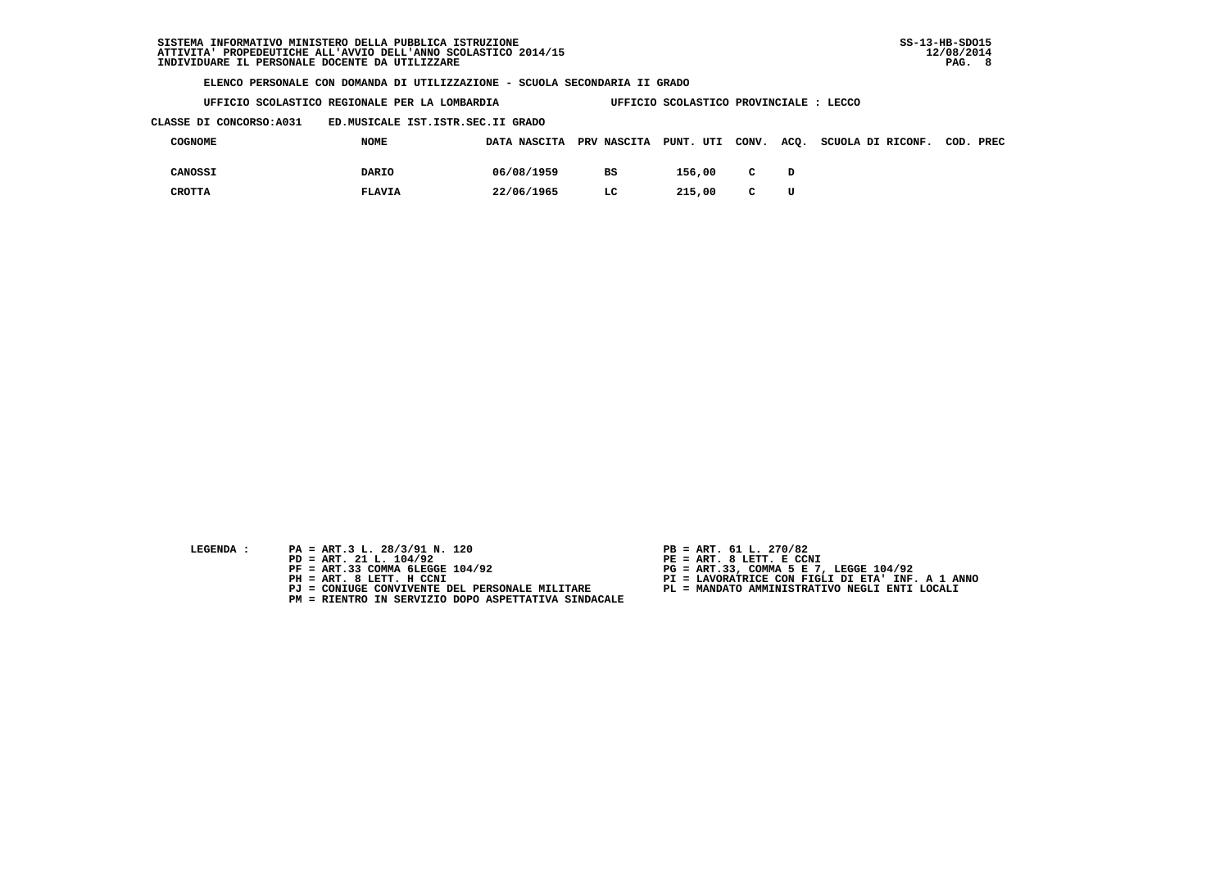| UFFICIO SCOLASTICO REGIONALE PER LA LOMBARDIA | UFFICIO SCOLASTICO PROVINCIALE : LECCO |
|-----------------------------------------------|----------------------------------------|
|                                               |                                        |

 **CLASSE DI CONCORSO:A031 ED.MUSICALE IST.ISTR.SEC.II GRADO**

| COGNOME | <b>NOME</b>   | DATA NASCITA PRV NASCITA PUNT. UTI CONV. |    |        |              | ACQ. SCUOLA DI RICONF. COD. PREC |  |
|---------|---------------|------------------------------------------|----|--------|--------------|----------------------------------|--|
| CANOSSI | DARIO         | 06/08/1959                               | BS | 156,00 | $\mathbf{C}$ |                                  |  |
| CROTTA  | <b>FLAVIA</b> | 22/06/1965                               | LC | 215,00 | $\mathbf{C}$ |                                  |  |

- 
- **LEGENDA :** PA = ART.3 L. 28/3/91 N. 120 <br>PD = ART. 21 L. 104/92 <br>PE = ART. 8 LETT. E CCN  **PD = ART. 21 L. 104/92 PE = ART. 8 LETT. E CCNI**
	-
	-
	-
	- **PM = RIENTRO IN SERVIZIO DOPO ASPETTATIVA SINDACALE**
- 
- 
- 
- **PF = ART.33 COMMA 6LEGGE 104/92 PG = ART.33, COMMA 5 E 7, LEGGE 104/92 PH = ART. 8 LETT. H CCNI PI = LAVORATRICE CON FIGLI DI ETA' INF. A 1 ANNO**
	- **PJ = CONIUGE CONVIVENTE DEL PERSONALE MILITARE PL = MANDATO AMMINISTRATIVO NEGLI ENTI LOCALI**
		-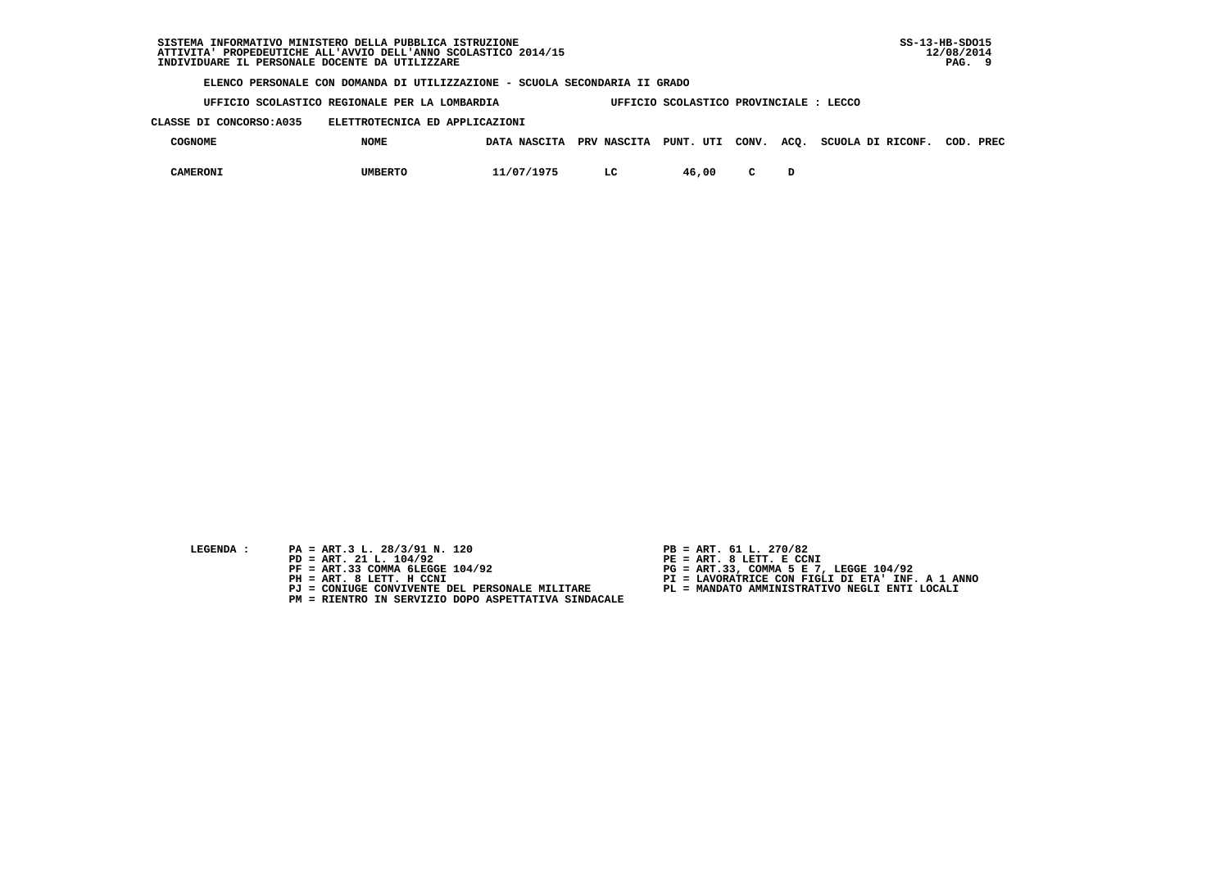**UFFICIO SCOLASTICO REGIONALE PER LA LOMBARDIA UFFICIO SCOLASTICO PROVINCIALE : LECCO**

 **CLASSE DI CONCORSO:A035 ELETTROTECNICA ED APPLICAZIONI**

| <b>COGNOME</b> | <b>NOME</b>    |            |    |       |  | DATA NASCITA PRV NASCITA PUNT. UTI CONV. ACO. SCUOLA DI RICONF. | COD. | PREC |
|----------------|----------------|------------|----|-------|--|-----------------------------------------------------------------|------|------|
| CAMERONI       | <b>UMBERTO</b> | 11/07/1975 | LC | 46,00 |  |                                                                 |      |      |

- **LEGENDA :** PA = ART.3 L. 28/3/91 N. 120 <br>PD = ART. 21 L. 104/92 <br>PE = ART. 8 LETT. E CCN
- **PD = ART. 21 L. 104/92 PE = ART. 8 LETT. E CCNI**
	-
	-
	-
	- **PM = RIENTRO IN SERVIZIO DOPO ASPETTATIVA SINDACALE**
- 
- 
- 
- **PF = ART.33 COMMA 6LEGGE 104/92 PG = ART.33, COMMA 5 E 7, LEGGE 104/92 PH = ART. 8 LETT. H CCNI PI = LAVORATRICE CON FIGLI DI ETA' INF. A 1 ANNO**
	- **PJ = CONIUGE CONVIVENTE DEL PERSONALE MILITARE PL = MANDATO AMMINISTRATIVO NEGLI ENTI LOCALI**
		-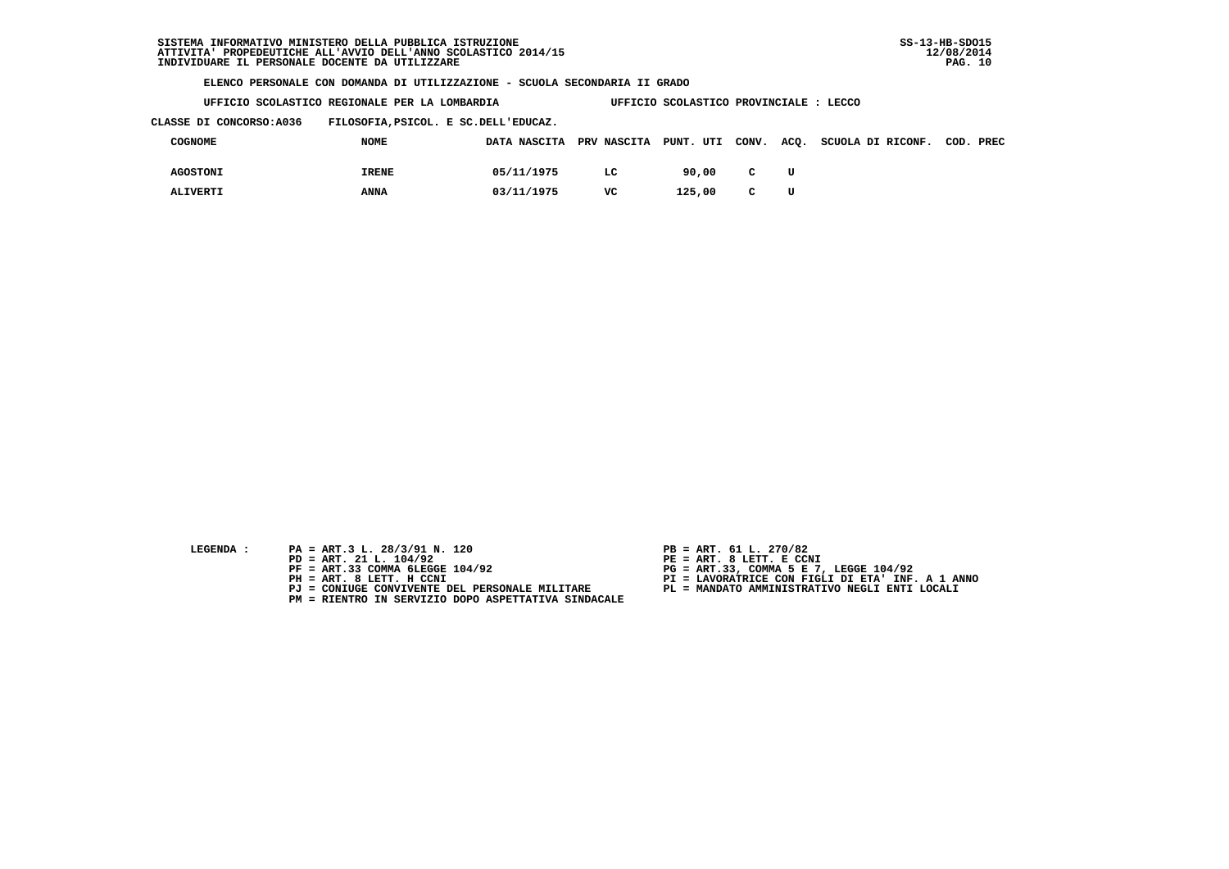**UFFICIO SCOLASTICO REGIONALE PER LA LOMBARDIA UFFICIO SCOLASTICO PROVINCIALE : LECCO**

 **CLASSE DI CONCORSO:A036 FILOSOFIA,PSICOL. E SC.DELL'EDUCAZ.**

| COGNOME         | <b>NOME</b>  |            |     |        |              | DATA NASCITA PRV NASCITA PUNT. UTI CONV. ACQ. SCUOLA DI RICONF. COD. PREC |  |
|-----------------|--------------|------------|-----|--------|--------------|---------------------------------------------------------------------------|--|
| <b>AGOSTONI</b> | <b>IRENE</b> | 05/11/1975 | LC. | 90.00  | $\mathbf{C}$ |                                                                           |  |
| <b>ALIVERTI</b> | <b>ANNA</b>  | 03/11/1975 | vc  | 125,00 | $\mathbf{C}$ |                                                                           |  |

- 
- **LEGENDA :** PA = ART.3 L. 28/3/91 N. 120 <br>PD = ART. 21 L. 104/92 <br>PE = ART. 8 LETT. E CCN  **PD = ART. 21 L. 104/92 PE = ART. 8 LETT. E CCNI**
	-
	-
	-
	- **PM = RIENTRO IN SERVIZIO DOPO ASPETTATIVA SINDACALE**
- 
- 
- 
- **PF = ART.33 COMMA 6LEGGE 104/92 PG = ART.33, COMMA 5 E 7, LEGGE 104/92 PH = ART. 8 LETT. H CCNI PI = LAVORATRICE CON FIGLI DI ETA' INF. A 1 ANNO**
	- **PJ = CONIUGE CONVIVENTE DEL PERSONALE MILITARE PL = MANDATO AMMINISTRATIVO NEGLI ENTI LOCALI**
		-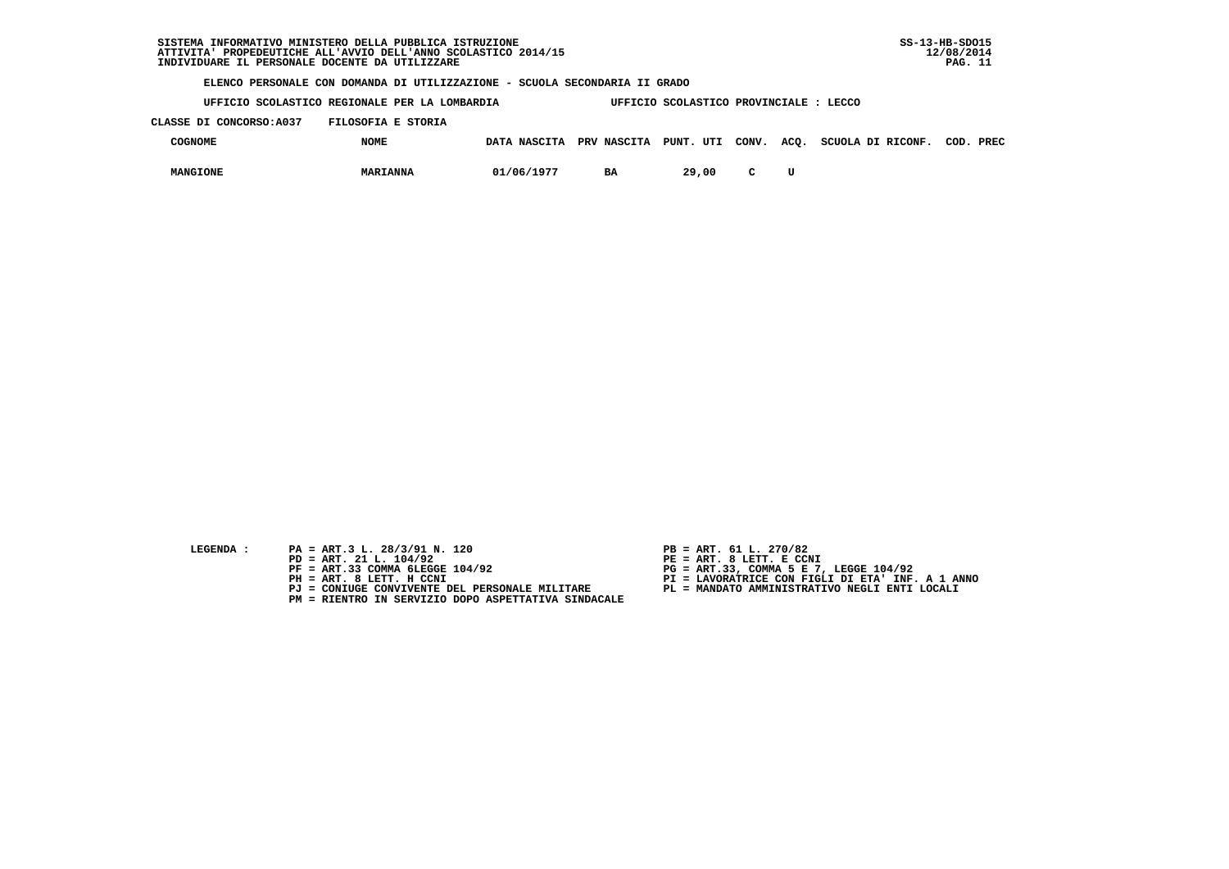**UFFICIO SCOLASTICO REGIONALE PER LA LOMBARDIA UFFICIO SCOLASTICO PROVINCIALE : LECCO**

 **CLASSE DI CONCORSO:A037 FILOSOFIA E STORIA**

| COGNOME         | <b>NOME</b>     |            |           |       |  | DATA NASCITA PRV NASCITA PUNT. UTI CONV. ACQ. SCUOLA DI RICONF. | COD. PREC |
|-----------------|-----------------|------------|-----------|-------|--|-----------------------------------------------------------------|-----------|
| <b>MANGIONE</b> | <b>MARIANNA</b> | 01/06/1977 | <b>BA</b> | 29,00 |  |                                                                 |           |

- **LEGENDA :** PA = ART.3 L. 28/3/91 N. 120 <br>PD = ART. 21 L. 104/92 <br>PE = ART. 8 LETT. E CCN
- **PD = ART. 21 L. 104/92 PE = ART. 8 LETT. E CCNI**
	-
	-
	-
	- **PM = RIENTRO IN SERVIZIO DOPO ASPETTATIVA SINDACALE**
- 
- 
- 
- **PF = ART.33 COMMA 6LEGGE 104/92 PG = ART.33, COMMA 5 E 7, LEGGE 104/92 PH = ART. 8 LETT. H CCNI PI = LAVORATRICE CON FIGLI DI ETA' INF. A 1 ANNO**
	- **PJ = CONIUGE CONVIVENTE DEL PERSONALE MILITARE PL = MANDATO AMMINISTRATIVO NEGLI ENTI LOCALI**
		-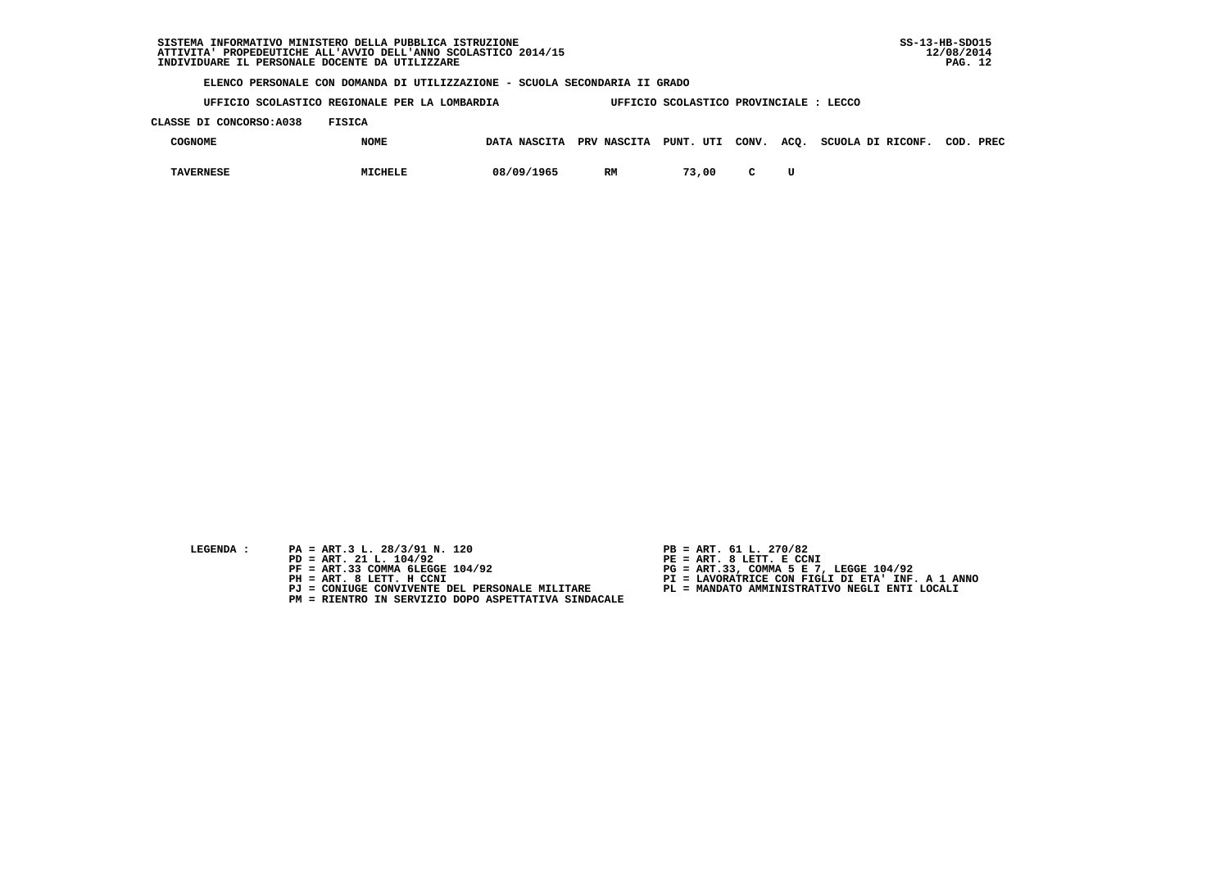**UFFICIO SCOLASTICO REGIONALE PER LA LOMBARDIA UFFICIO SCOLASTICO PROVINCIALE : LECCO**

 **CLASSE DI CONCORSO:A038 FISICA**

| <b>COGNOME</b>   | <b>NOME</b>    | DATA NASCITA | PRV NASCITA PUNT. UTI CONV. |       |        | ACQ. | SCUOLA DI RICONF. | COD. | PREC |
|------------------|----------------|--------------|-----------------------------|-------|--------|------|-------------------|------|------|
| <b>TAVERNESE</b> | <b>MICHELE</b> | 08/09/1965   | RM                          | 73,00 | $\sim$ |      |                   |      |      |

- 
- **LEGENDA :** PA = ART.3 L. 28/3/91 N. 120 <br>PD = ART. 21 L. 104/92 <br>PE = ART. 8 LETT. E CCN  **PD = ART. 21 L. 104/92 PE = ART. 8 LETT. E CCNI**
	-
	-
	-
	- **PM = RIENTRO IN SERVIZIO DOPO ASPETTATIVA SINDACALE**
- 
- 
- 
- **PF = ART.33 COMMA 6LEGGE 104/92 PG = ART.33, COMMA 5 E 7, LEGGE 104/92 PH = ART. 8 LETT. H CCNI PI = LAVORATRICE CON FIGLI DI ETA' INF. A 1 ANNO**
	- **PJ = CONIUGE CONVIVENTE DEL PERSONALE MILITARE PL = MANDATO AMMINISTRATIVO NEGLI ENTI LOCALI**
		-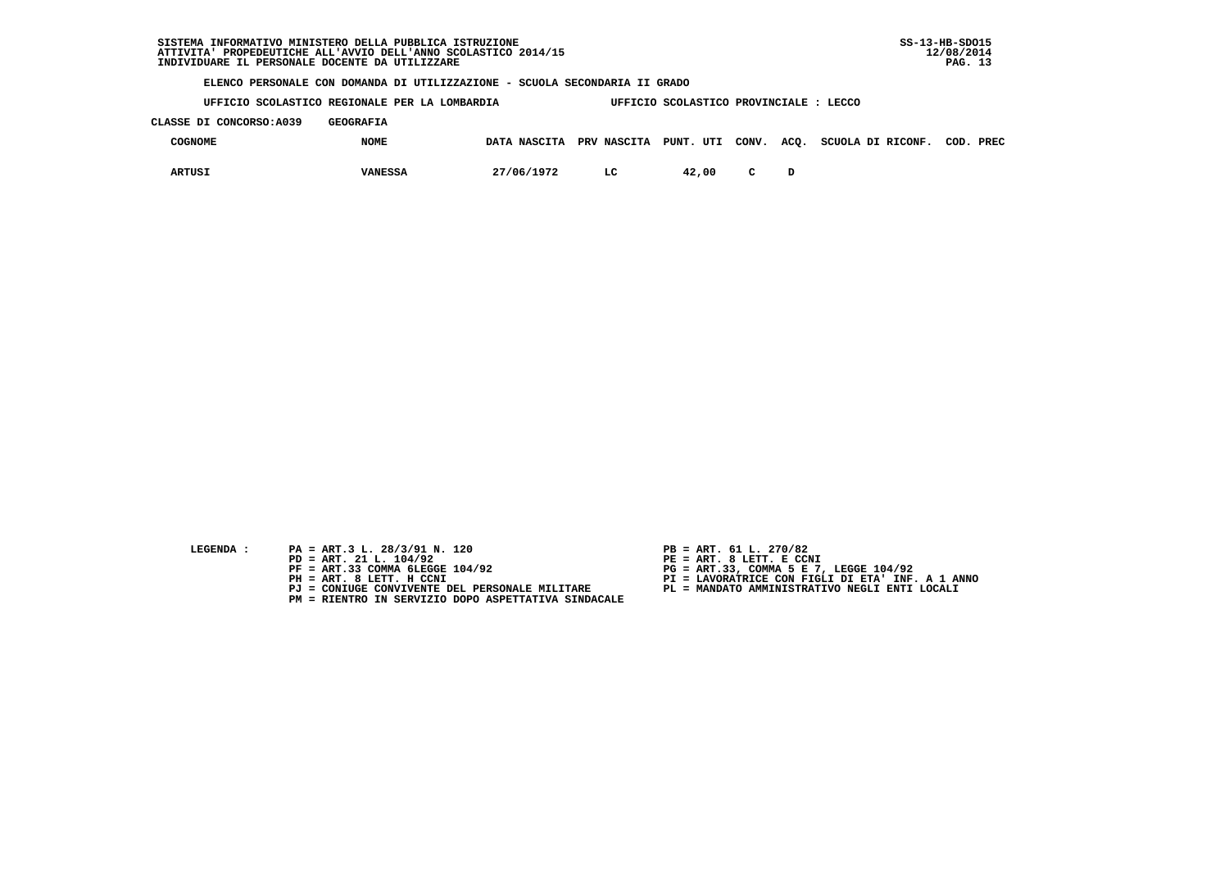**UFFICIO SCOLASTICO REGIONALE PER LA LOMBARDIA UFFICIO SCOLASTICO PROVINCIALE : LECCO**

 **CLASSE DI CONCORSO:A039 GEOGRAFIA**

| COGNOME | <b>NOME</b>    | DATA NASCITA PRV NASCITA PUNT. UTI CONV. ACQ. |    |       |  | SCUOLA DI RICONF. | COD. | PREC |
|---------|----------------|-----------------------------------------------|----|-------|--|-------------------|------|------|
| ARTUSJ  | <b>VANESSA</b> | 27/06/1972                                    | LC | 42,00 |  |                   |      |      |

- **LEGENDA :** PA = ART.3 L. 28/3/91 N. 120 <br>PD = ART. 21 L. 104/92 <br>PE = ART. 8 LETT. E CCN
- **PD = ART. 21 L. 104/92 PE = ART. 8 LETT. E CCNI**
	-
	-
	-
	- **PM = RIENTRO IN SERVIZIO DOPO ASPETTATIVA SINDACALE**
- 
- 
- 
- **PF = ART.33 COMMA 6LEGGE 104/92 PG = ART.33, COMMA 5 E 7, LEGGE 104/92 PH = ART. 8 LETT. H CCNI PI = LAVORATRICE CON FIGLI DI ETA' INF. A 1 ANNO**
	- **PJ = CONIUGE CONVIVENTE DEL PERSONALE MILITARE PL = MANDATO AMMINISTRATIVO NEGLI ENTI LOCALI**
		-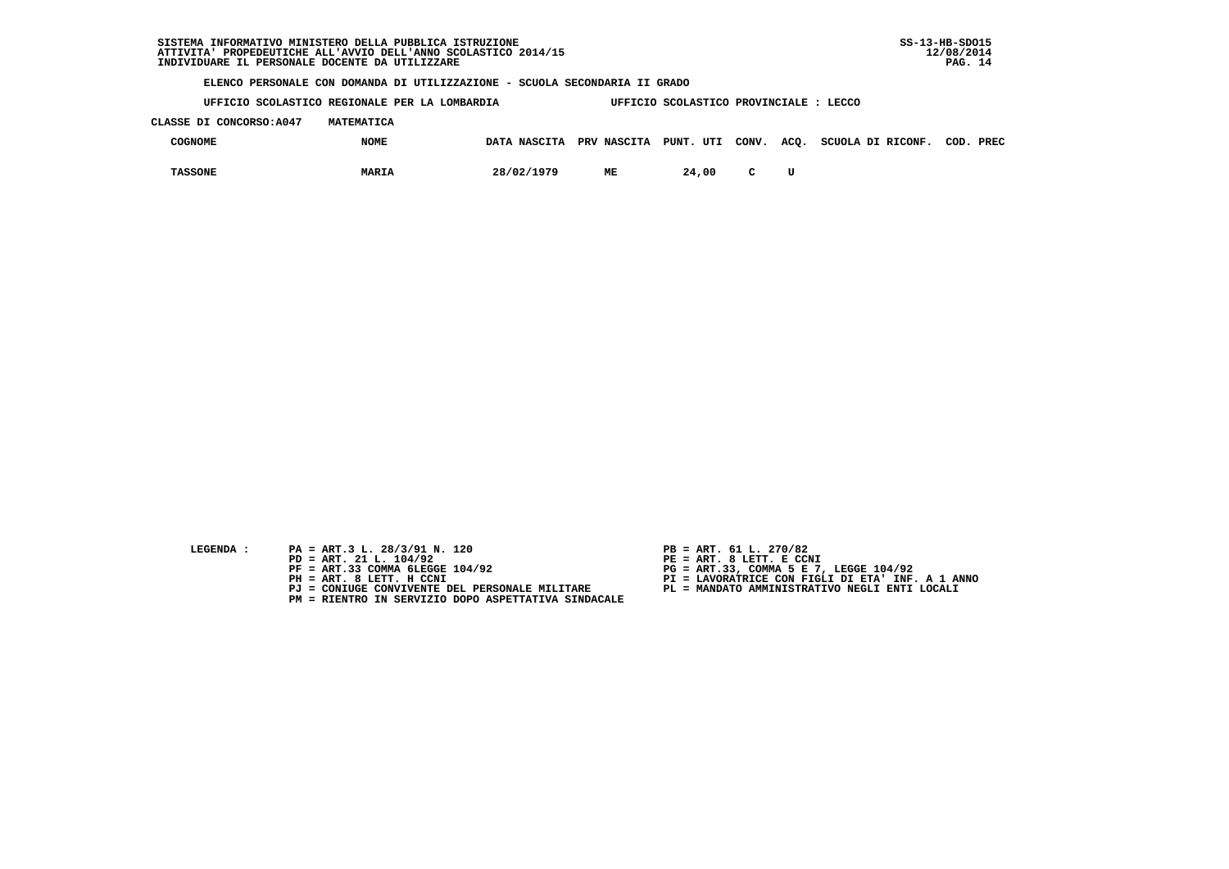**UFFICIO SCOLASTICO REGIONALE PER LA LOMBARDIA UFFICIO SCOLASTICO PROVINCIALE : LECCO CLASSE DI CONCORSO:A047 MATEMATICA**

| <b>COGNOME</b> | <b>NOME</b>  |            |    |       |        | DATA NASCITA PRV NASCITA PUNT. UTI CONV. ACQ. SCUOLA DI RICONF. | COD. | PREC |
|----------------|--------------|------------|----|-------|--------|-----------------------------------------------------------------|------|------|
| <b>TASSONE</b> | <b>MARIA</b> | 28/02/1979 | ME | 24,00 | $\sim$ |                                                                 |      |      |

- **LEGENDA :** PA = ART.3 L. 28/3/91 N. 120 <br>PD = ART. 21 L. 104/92 <br>PE = ART. 8 LETT. E CCN
- **PD = ART. 21 L. 104/92 PE = ART. 8 LETT. E CCNI**
	-
	-
	-
	- **PM = RIENTRO IN SERVIZIO DOPO ASPETTATIVA SINDACALE**
- 
- 
- 
- **PF = ART.33 COMMA 6LEGGE 104/92 PG = ART.33, COMMA 5 E 7, LEGGE 104/92 PH = ART. 8 LETT. H CCNI PI = LAVORATRICE CON FIGLI DI ETA' INF. A 1 ANNO**
	- **PJ = CONIUGE CONVIVENTE DEL PERSONALE MILITARE PL = MANDATO AMMINISTRATIVO NEGLI ENTI LOCALI**
		-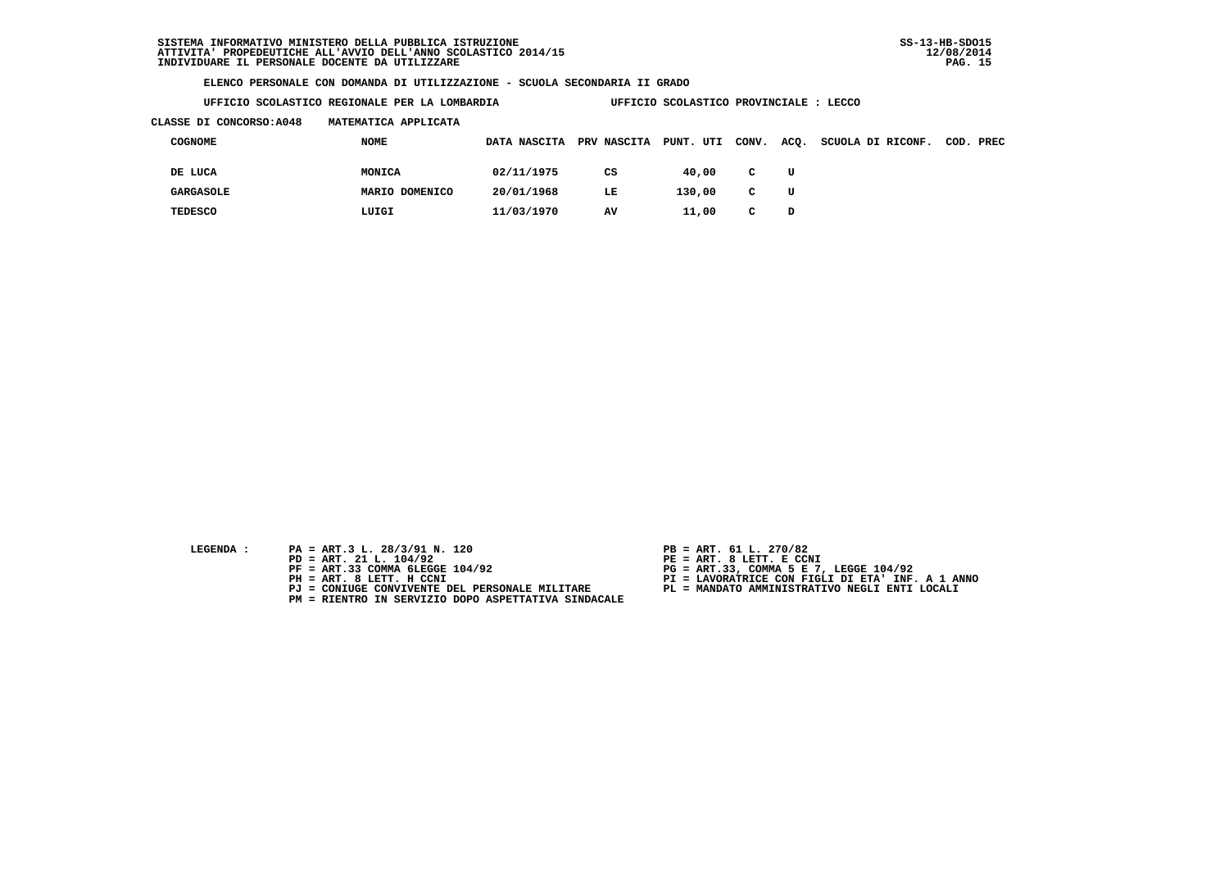**UFFICIO SCOLASTICO REGIONALE PER LA LOMBARDIA UFFICIO SCOLASTICO PROVINCIALE : LECCO**

## **CLASSE DI CONCORSO:A048 MATEMATICA APPLICATA**

| COGNOME          | NOME           | DATA NASCITA | PRV NASCITA | PUNT. UTI | CONV.        | ACQ. | SCUOLA DI RICONF. | COD. PREC |
|------------------|----------------|--------------|-------------|-----------|--------------|------|-------------------|-----------|
| DE LUCA          | MONICA         | 02/11/1975   | CS          | 40,00     | $\mathbf{C}$ | U    |                   |           |
| <b>GARGASOLE</b> | MARIO DOMENICO | 20/01/1968   | LE.         | 130,00    | $\mathbf{C}$ | U    |                   |           |
| <b>TEDESCO</b>   | LUIGI          | 11/03/1970   | AV          | 11,00     | C            | D    |                   |           |

- **LEGENDA :** PA = ART.3 L. 28/3/91 N. 120 <br>PD = ART. 21 L. 104/92 <br>PE = ART. 8 LETT. E CCN
- **PD = ART. 21 L. 104/92 PE = ART. 8 LETT. E CCNI**
	-
	-
	-
	- **PM = RIENTRO IN SERVIZIO DOPO ASPETTATIVA SINDACALE**
- 
- 
- 
- **PF = ART.33 COMMA 6LEGGE 104/92 PG = ART.33, COMMA 5 E 7, LEGGE 104/92 PH = ART. 8 LETT. H CCNI PI = LAVORATRICE CON FIGLI DI ETA' INF. A 1 ANNO**
	- **PJ = CONIUGE CONVIVENTE DEL PERSONALE MILITARE PL = MANDATO AMMINISTRATIVO NEGLI ENTI LOCALI**
		-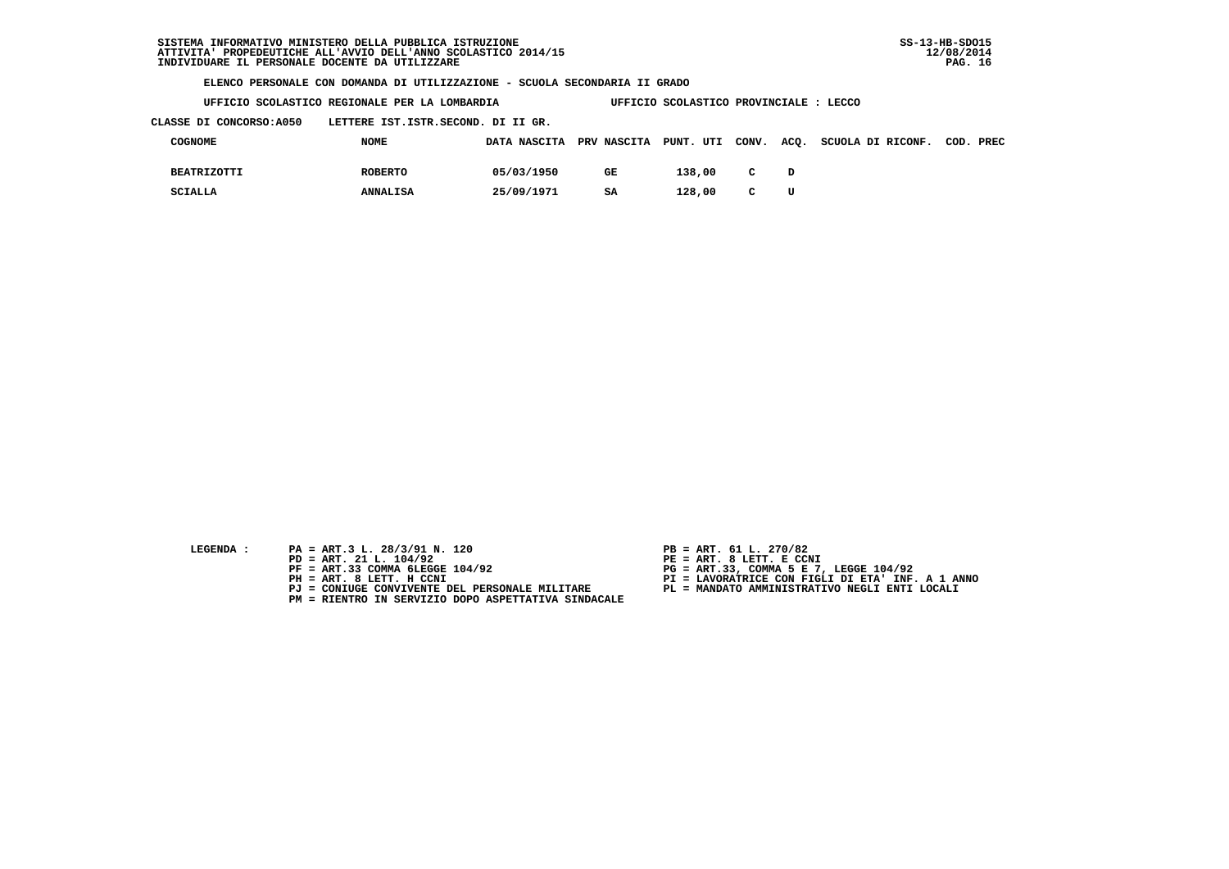**UFFICIO SCOLASTICO REGIONALE PER LA LOMBARDIA UFFICIO SCOLASTICO PROVINCIALE : LECCO**

 **CLASSE DI CONCORSO:A050 LETTERE IST.ISTR.SECOND. DI II GR.**

| COGNOME            | <b>NOME</b>     | DATA NASCITA PRV NASCITA PUNT. UTI CONV. |    |        |              |   | ACQ. SCUOLA DI RICONF. | COD. PREC |
|--------------------|-----------------|------------------------------------------|----|--------|--------------|---|------------------------|-----------|
| <b>BEATRIZOTTI</b> | <b>ROBERTO</b>  | 05/03/1950                               | GE | 138,00 | C            |   |                        |           |
| SCIALLA            | <b>ANNALISA</b> | 25/09/1971                               | SA | 128,00 | $\mathbf{C}$ | U |                        |           |

- 
- **LEGENDA :** PA = ART.3 L. 28/3/91 N. 120 <br>PD = ART. 21 L. 104/92 <br>PE = ART. 8 LETT. E CCN  **PD = ART. 21 L. 104/92 PE = ART. 8 LETT. E CCNI**
	-
	-
	-
	- **PM = RIENTRO IN SERVIZIO DOPO ASPETTATIVA SINDACALE**
- 
- 
- 
- **PF = ART.33 COMMA 6LEGGE 104/92 PG = ART.33, COMMA 5 E 7, LEGGE 104/92 PH = ART. 8 LETT. H CCNI PI = LAVORATRICE CON FIGLI DI ETA' INF. A 1 ANNO**
	- **PJ = CONIUGE CONVIVENTE DEL PERSONALE MILITARE PL = MANDATO AMMINISTRATIVO NEGLI ENTI LOCALI**
		-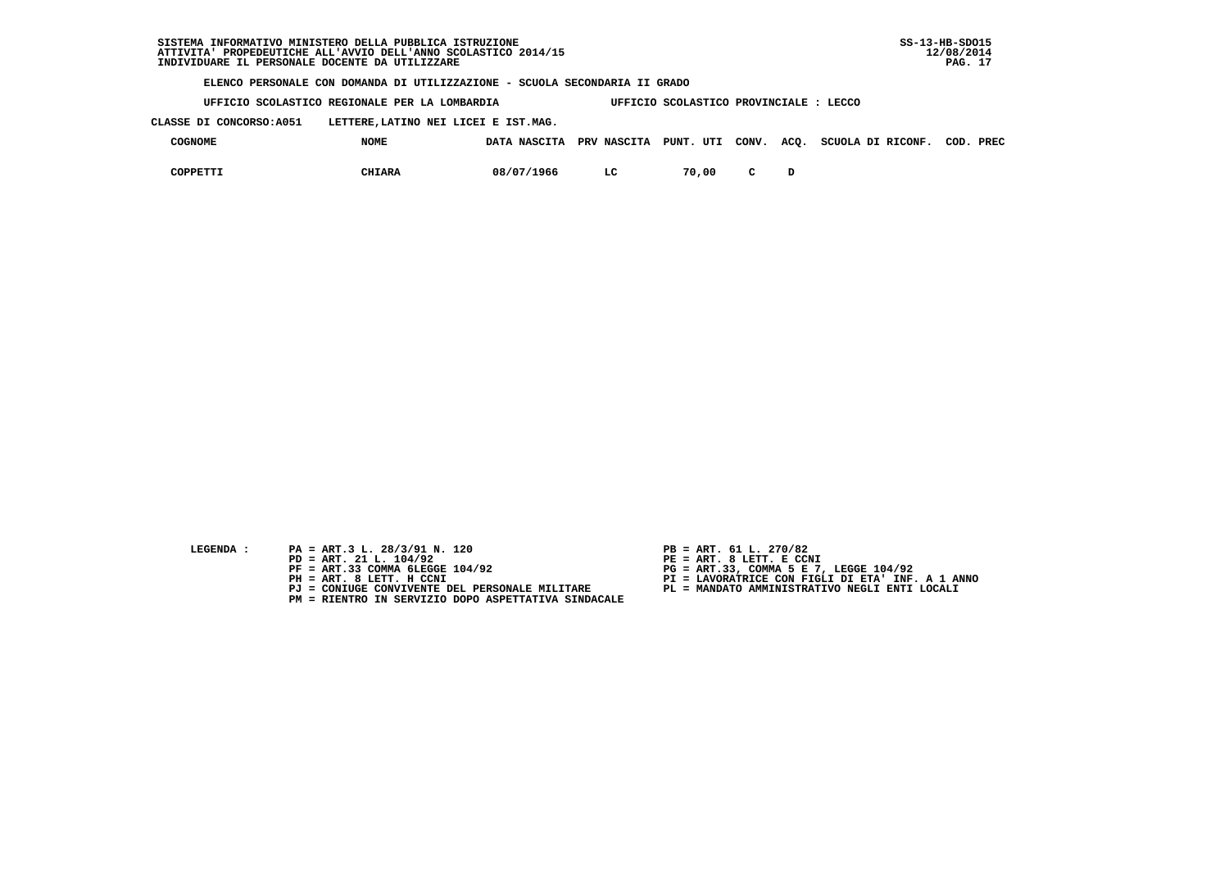**UFFICIO SCOLASTICO REGIONALE PER LA LOMBARDIA UFFICIO SCOLASTICO PROVINCIALE : LECCO**

 **CLASSE DI CONCORSO:A051 LETTERE,LATINO NEI LICEI E IST.MAG.**

| <b>COGNOME</b> | <b>NOME</b>   | DATA NASCITA | <b>PRV NASCITA</b> | PUNT. UTI | CONV. | ACQ. SCUOLA DI RICONF. | COD. | PREC |
|----------------|---------------|--------------|--------------------|-----------|-------|------------------------|------|------|
| COPPETTI       | <b>CHIARA</b> | 08/07/1966   | $T_{\alpha}$       | 70,00     |       |                        |      |      |

- **LEGENDA :** PA = ART.3 L. 28/3/91 N. 120 <br>PD = ART. 21 L. 104/92 <br>PE = ART. 8 LETT. E CCN
- **PD = ART. 21 L. 104/92 PE = ART. 8 LETT. E CCNI**
	-
	-
	-
	- **PM = RIENTRO IN SERVIZIO DOPO ASPETTATIVA SINDACALE**
- 
- 
- 
- **PF = ART.33 COMMA 6LEGGE 104/92 PG = ART.33, COMMA 5 E 7, LEGGE 104/92 PH = ART. 8 LETT. H CCNI PI = LAVORATRICE CON FIGLI DI ETA' INF. A 1 ANNO**
	- **PJ = CONIUGE CONVIVENTE DEL PERSONALE MILITARE PL = MANDATO AMMINISTRATIVO NEGLI ENTI LOCALI**
		-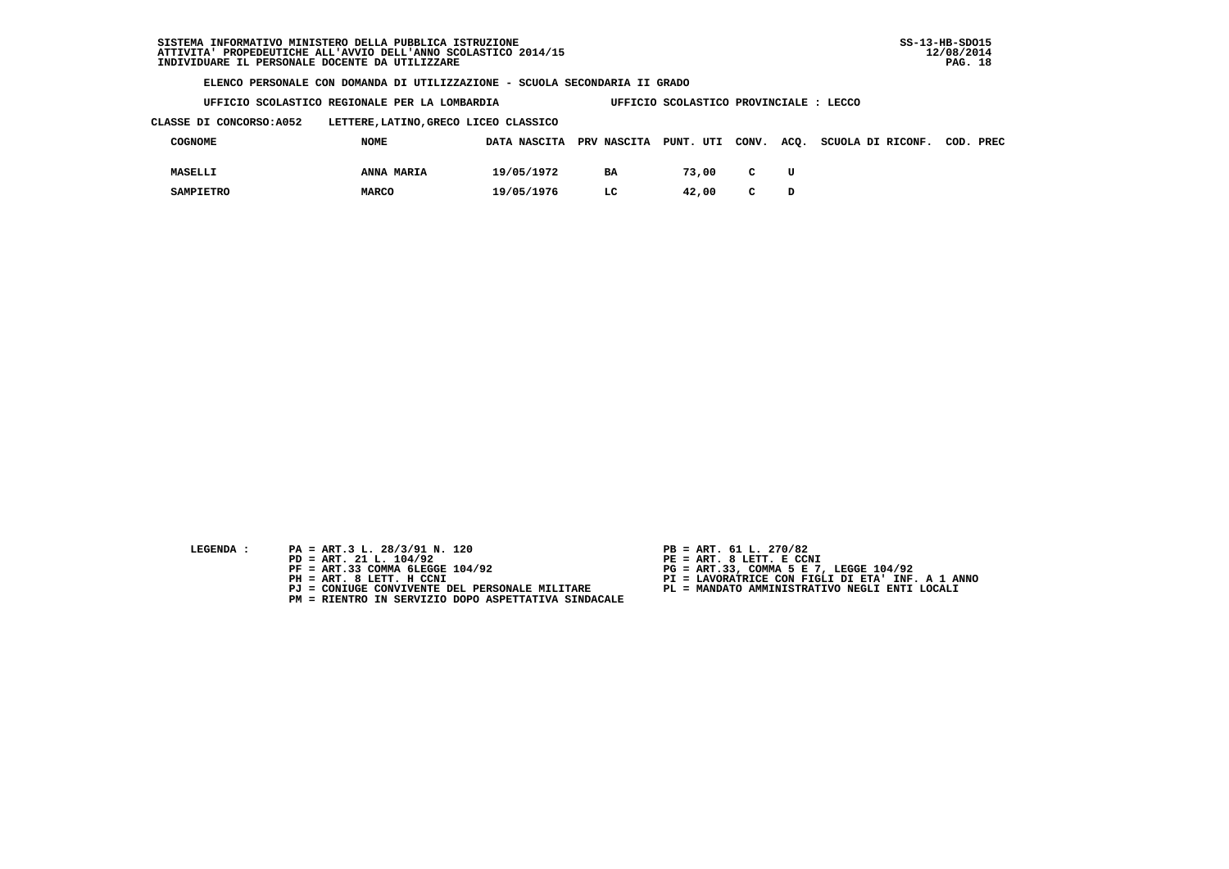|  |  | UFFICIO SCOLASTICO REGIONALE PER LA LOMBARDIA |  | UFFICIO SCOLASTICO PROVINCIALE : | : LECCO |
|--|--|-----------------------------------------------|--|----------------------------------|---------|
|  |  |                                               |  |                                  |         |

 **CLASSE DI CONCORSO:A052 LETTERE,LATINO,GRECO LICEO CLASSICO**

| COGNOME          | <b>NOME</b>  |            |           |       |              | DATA NASCITA PRV NASCITA PUNT. UTI CONV. ACQ. SCUOLA DI RICONF. COD. PREC |  |
|------------------|--------------|------------|-----------|-------|--------------|---------------------------------------------------------------------------|--|
| <b>MASELLI</b>   | ANNA MARIA   | 19/05/1972 | <b>BA</b> | 73,00 | $\mathbf{C}$ |                                                                           |  |
| <b>SAMPIETRO</b> | <b>MARCO</b> | 19/05/1976 | LC        | 42.00 | $\mathbf{C}$ |                                                                           |  |

| LEGENDA |  |
|---------|--|
|         |  |

- **PA = ART.3 L. 28/3/91 N. 120 PB = ART. 61 L. 270/82**<br> **PD = ART. 21 L. 104/92 PE = ART. 8 LETT. E CCN**
- **PD = ART. 21 L. 104/92 PE = ART. 8 LETT. E CCNI**
	-
	-
	-
	- **PM = RIENTRO IN SERVIZIO DOPO ASPETTATIVA SINDACALE**
- 
- 
- 
- **PF = ART.33 COMMA 6LEGGE 104/92 PG = ART.33, COMMA 5 E 7, LEGGE 104/92 PH = ART. 8 LETT. H CCNI PI = LAVORATRICE CON FIGLI DI ETA' INF. A 1 ANNO**
	- **PJ = CONIUGE CONVIVENTE DEL PERSONALE MILITARE PL = MANDATO AMMINISTRATIVO NEGLI ENTI LOCALI**
		-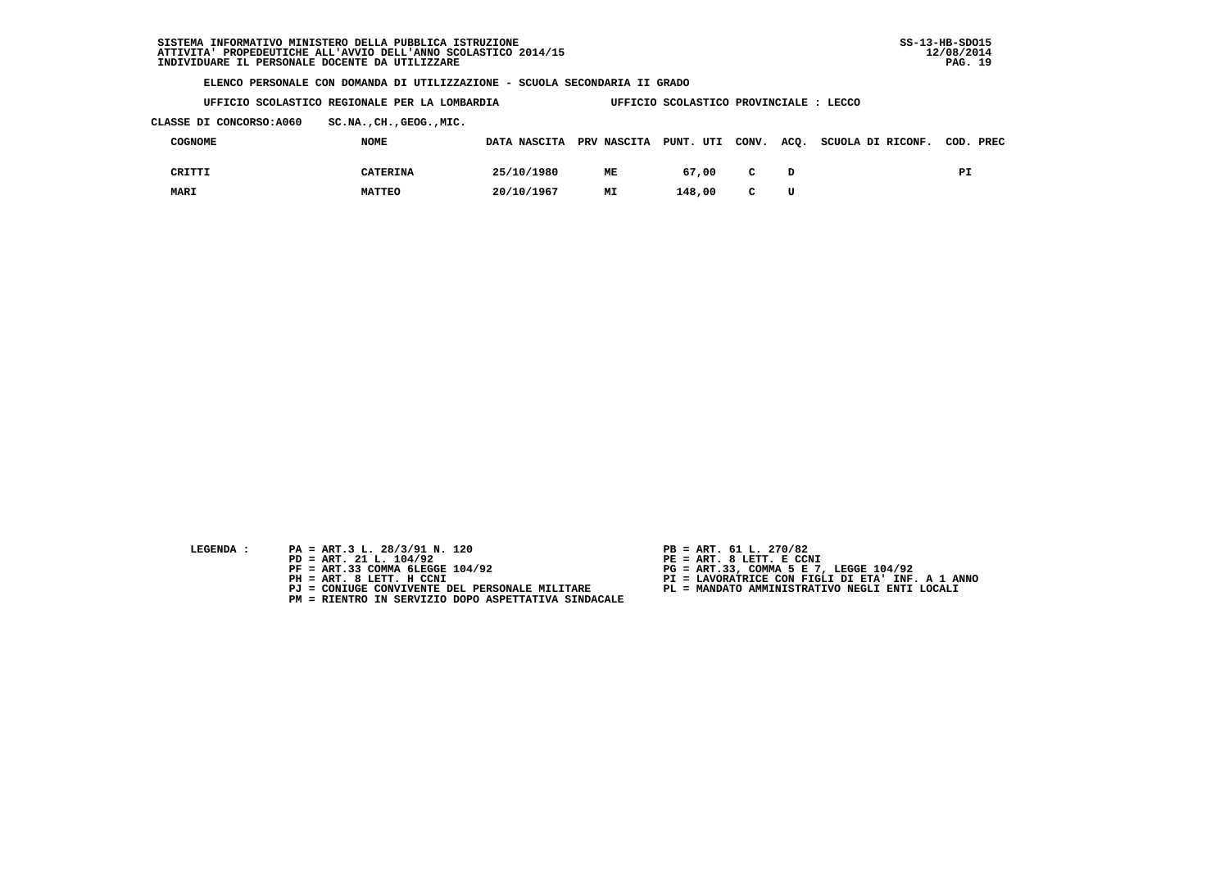**UFFICIO SCOLASTICO REGIONALE PER LA LOMBARDIA UFFICIO SCOLASTICO PROVINCIALE : LECCO**

 **CLASSE DI CONCORSO:A060 SC.NA.,CH.,GEOG.,MIC.**

| COGNOME | <b>NOME</b>   |            |    |        |              | DATA NASCITA PRV NASCITA PUNT. UTI CONV. ACQ. SCUOLA DI RICONF. COD. PREC |    |
|---------|---------------|------------|----|--------|--------------|---------------------------------------------------------------------------|----|
| CRITTI  | CATERINA      | 25/10/1980 | ME | 67.00  | $\mathbf{C}$ |                                                                           | PI |
| MARI    | <b>MATTEO</b> | 20/10/1967 | МI | 148,00 | $\mathbf{C}$ |                                                                           |    |

| LEGENDA |  |  |
|---------|--|--|
|         |  |  |

- **PA = ART.3 L. 28/3/91 N. 120 PB = ART. 61 L. 270/82**<br> **PD = ART. 21 L. 104/92 PE = ART. 8 LETT. E CCN**
- **PD = ART. 21 L. 104/92 PE = ART. 8 LETT. E CCNI**
	-
	-
	-
	- **PM = RIENTRO IN SERVIZIO DOPO ASPETTATIVA SINDACALE**
- 
- 
- 
- **PF = ART.33 COMMA 6LEGGE 104/92 PG = ART.33, COMMA 5 E 7, LEGGE 104/92 PH = ART. 8 LETT. H CCNI PI = LAVORATRICE CON FIGLI DI ETA' INF. A 1 ANNO**
	- **PJ = CONIUGE CONVIVENTE DEL PERSONALE MILITARE PL = MANDATO AMMINISTRATIVO NEGLI ENTI LOCALI**
		-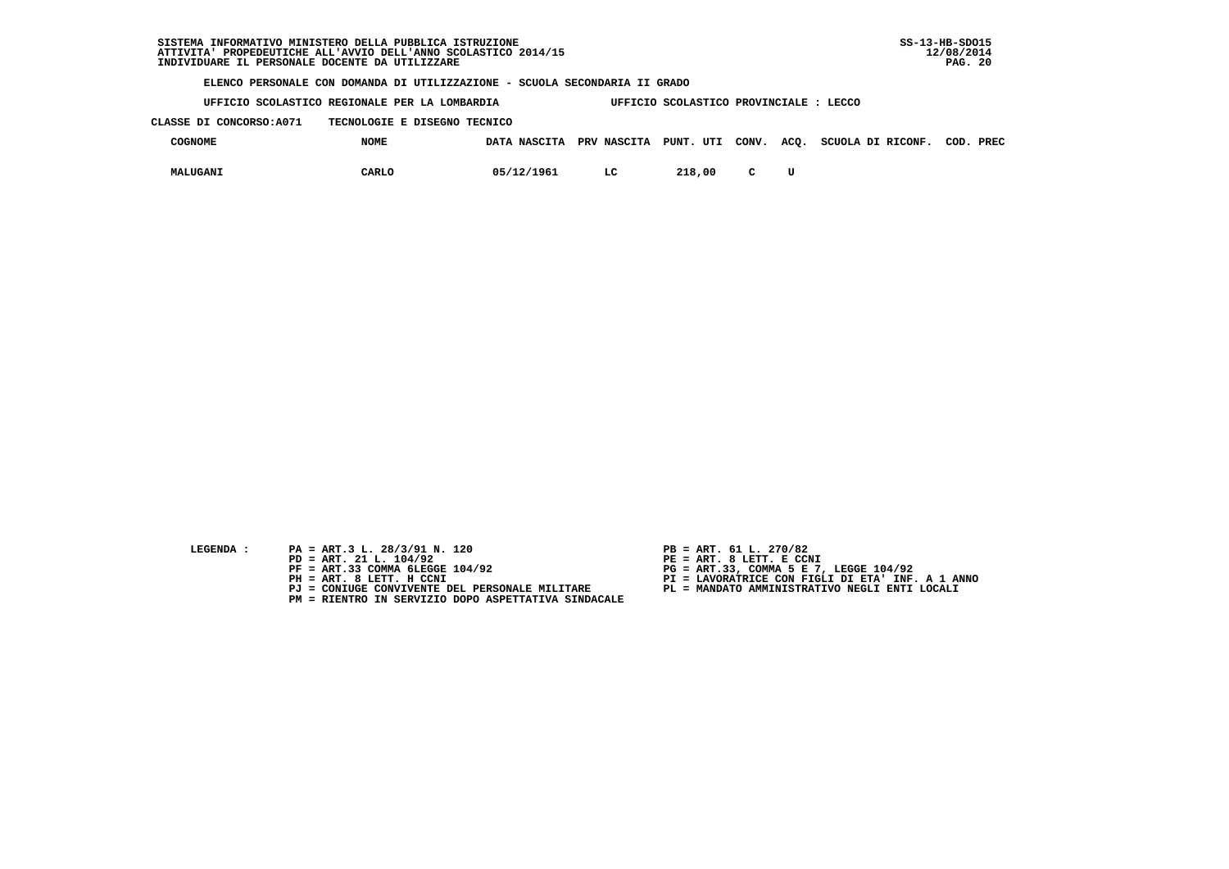**UFFICIO SCOLASTICO REGIONALE PER LA LOMBARDIA UFFICIO SCOLASTICO PROVINCIALE : LECCO**

 **CLASSE DI CONCORSO:A071 TECNOLOGIE E DISEGNO TECNICO**

| <b>COGNOME</b> | <b>NOME</b> | DATA NASCITA PRV NASCITA PUNT. UTI CONV. ACQ. |    |        |  | SCUOLA DI RICONF. | COD. PREC |  |
|----------------|-------------|-----------------------------------------------|----|--------|--|-------------------|-----------|--|
| MALUGANI       | CARLO       | 05/12/1961                                    | LC | 218,00 |  |                   |           |  |

- **LEGENDA :** PA = ART.3 L. 28/3/91 N. 120 <br>PD = ART. 21 L. 104/92 <br>PE = ART. 8 LETT. E CCN
- **PD = ART. 21 L. 104/92 PE = ART. 8 LETT. E CCNI**
	-
	-
	-
	- **PM = RIENTRO IN SERVIZIO DOPO ASPETTATIVA SINDACALE**
- 
- 
- 
- **PF = ART.33 COMMA 6LEGGE 104/92 PG = ART.33, COMMA 5 E 7, LEGGE 104/92 PH = ART. 8 LETT. H CCNI PI = LAVORATRICE CON FIGLI DI ETA' INF. A 1 ANNO**
	- **PJ = CONIUGE CONVIVENTE DEL PERSONALE MILITARE PL = MANDATO AMMINISTRATIVO NEGLI ENTI LOCALI**
		-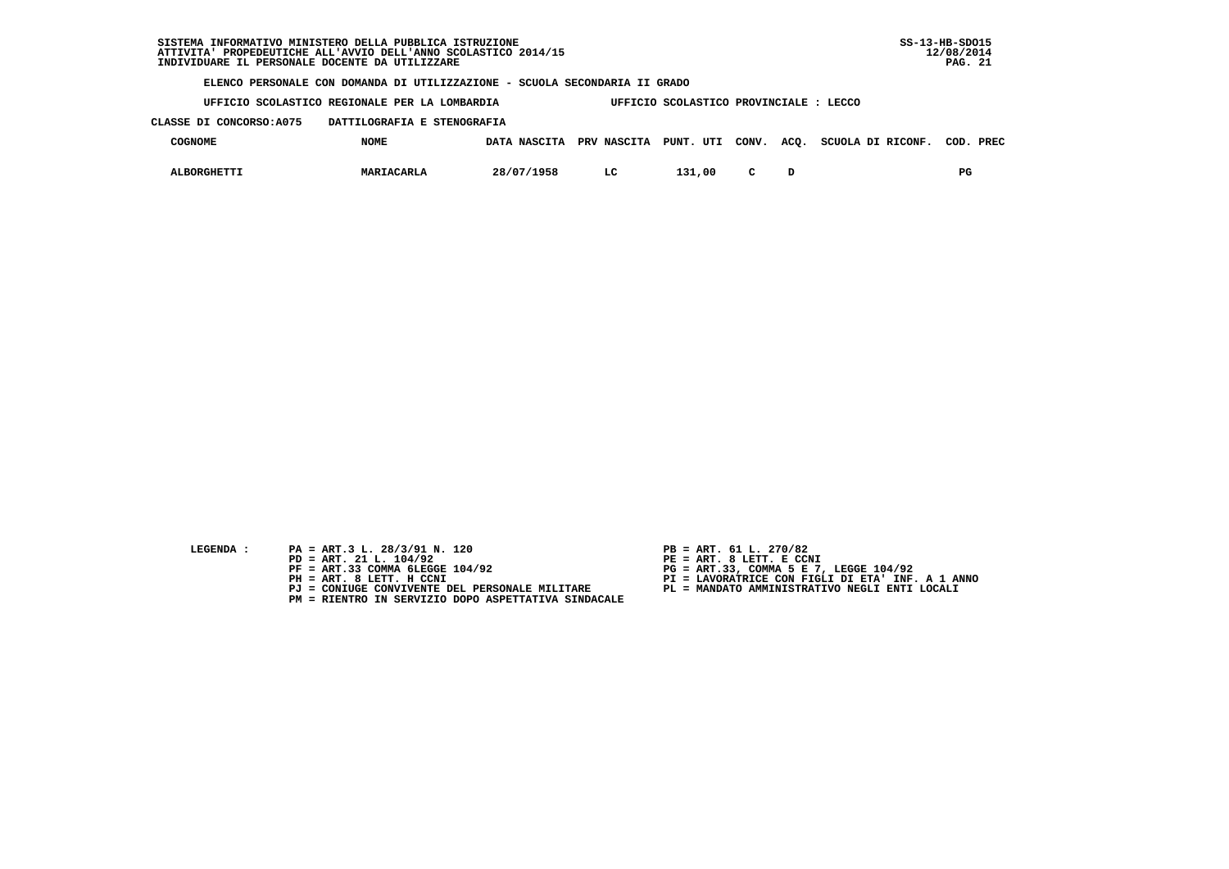| STSTEMA<br>ATTIVITA' PROPEDEUTICHE ALL'AVVIO DELL'ANNO SCOLASTICO 2014/15<br>INDIVIDUARE IL PERSONALE DOCENTE DA UTILIZZARE | INFORMATIVO MINISTERO DELLA PUBBLICA ISTRUZIONE                            |              |             |                                        |       |      |                   | $SS-13-HB-SDO15$<br>12/08/2014<br><b>PAG. 21</b> |
|-----------------------------------------------------------------------------------------------------------------------------|----------------------------------------------------------------------------|--------------|-------------|----------------------------------------|-------|------|-------------------|--------------------------------------------------|
|                                                                                                                             | ELENCO PERSONALE CON DOMANDA DI UTILIZZAZIONE - SCUOLA SECONDARIA II GRADO |              |             |                                        |       |      |                   |                                                  |
|                                                                                                                             | UFFICIO SCOLASTICO REGIONALE PER LA LOMBARDIA                              |              |             | UFFICIO SCOLASTICO PROVINCIALE : LECCO |       |      |                   |                                                  |
| CLASSE DI CONCORSO: A075                                                                                                    | DATTILOGRAFIA E STENOGRAFIA                                                |              |             |                                        |       |      |                   |                                                  |
| <b>COGNOME</b>                                                                                                              | <b>NOME</b>                                                                | DATA NASCITA | PRV NASCITA | PUNT. UTI                              | CONV. | ACO. | SCUOLA DI RICONF. | COD. PREC                                        |
| <b>ALBORGHETTI</b>                                                                                                          | MARIACARLA                                                                 | 28/07/1958   | LC          | 131,00                                 |       | D    |                   | $_{\rm PG}$                                      |

- LEGENDA : PA = ART.3 L. 28/3/91 N. 120
	-
	- **PD = ART. 21 L. 104/92**<br>**PP = ART. 21 L. 104/92**<br>**PF = ART.33 COMMA 6LEGGE 104/92**
	-
	-
	-
- 
- 
- 
- **PF = ART.33 COMMA 6LEGGE 104/92 PG = ART.33, COMMA 5 E 7, LEGGE 104/92 PH = ART. 8 LETT. H CCNI PI = LAVORATRICE CON FIGLI DI ETA' INF. A 1 ANNO**
	-
- **PJ = CONIUGE CONVIVENTE DEL PERSONALE MILITARE PL = MANDATO AMMINISTRATIVO NEGLI ENTI LOCALI PM = RIENTRO IN SERVIZIO DOPO ASPETTATIVA SINDACALE**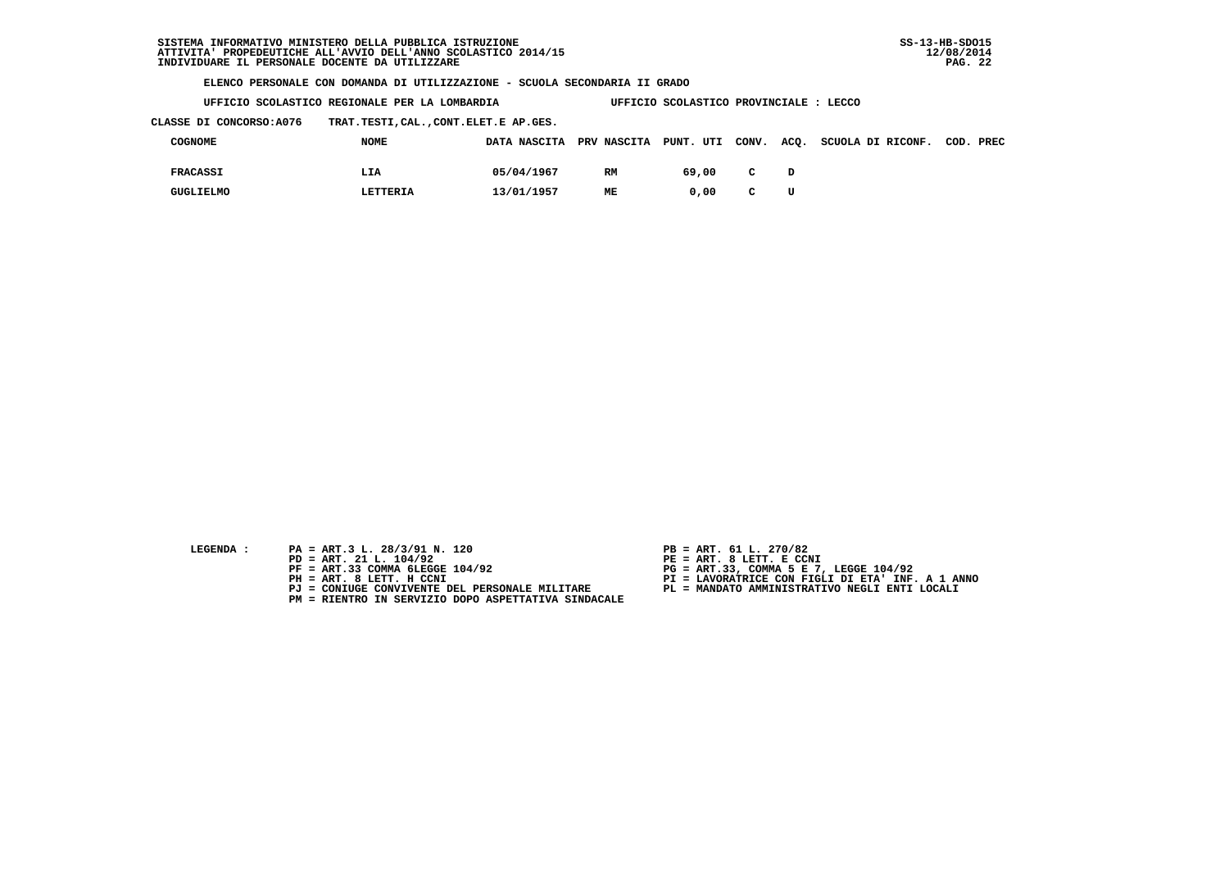| UFFICIO SCOLASTICO REGIONALE PER LA LOMBARDIA | UFFICIO SCOLASTICO PROVINCIALE : LECCO |
|-----------------------------------------------|----------------------------------------|
|                                               |                                        |

 **CLASSE DI CONCORSO:A076 TRAT.TESTI,CAL.,CONT.ELET.E AP.GES.**

| COGNOME          | <b>NOME</b> | DATA NASCITA PRV NASCITA PUNT. UTI CONV. |    |       |              |   | ACQ. SCUOLA DI RICONF. | COD. PREC |
|------------------|-------------|------------------------------------------|----|-------|--------------|---|------------------------|-----------|
| <b>FRACASSI</b>  | LIA         | 05/04/1967                               | RM | 69,00 | C            |   |                        |           |
| <b>GUGLIELMO</b> | LETTERIA    | 13/01/1957                               | ME | 0.00  | $\mathbf{C}$ | U |                        |           |

- **LEGENDA :** PA = ART.3 L. 28/3/91 N. 120 <br>PD = ART. 21 L. 104/92 <br>PE = ART. 8 LETT. E CCN
- **PD = ART. 21 L. 104/92 PE = ART. 8 LETT. E CCNI**
	-
	-
	-
	- **PM = RIENTRO IN SERVIZIO DOPO ASPETTATIVA SINDACALE**
- 
- 
- 
- **PF = ART.33 COMMA 6LEGGE 104/92 PG = ART.33, COMMA 5 E 7, LEGGE 104/92 PH = ART. 8 LETT. H CCNI PI = LAVORATRICE CON FIGLI DI ETA' INF. A 1 ANNO**
	- **PJ = CONIUGE CONVIVENTE DEL PERSONALE MILITARE PL = MANDATO AMMINISTRATIVO NEGLI ENTI LOCALI**
		-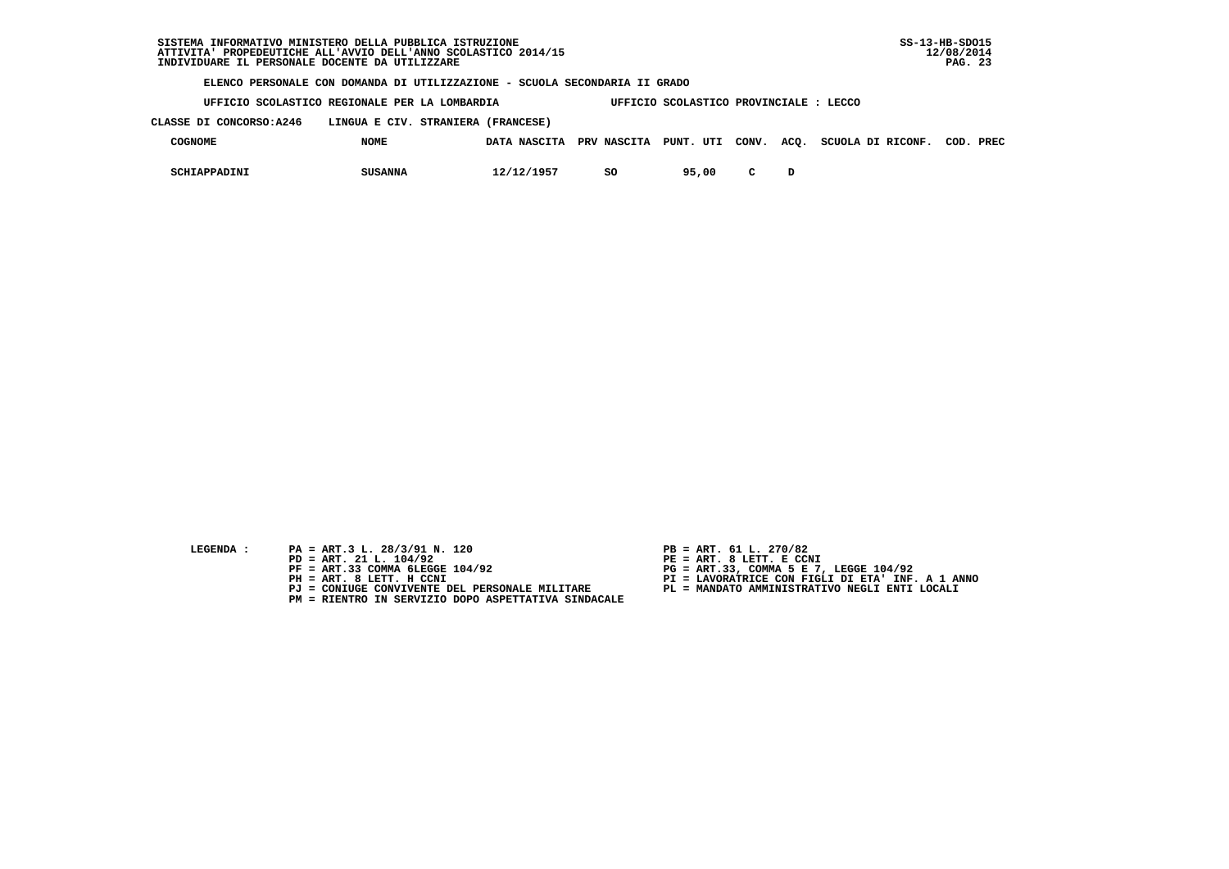**UFFICIO SCOLASTICO REGIONALE PER LA LOMBARDIA UFFICIO SCOLASTICO PROVINCIALE : LECCO**

 **CLASSE DI CONCORSO:A246 LINGUA E CIV. STRANIERA (FRANCESE)**

| <b>COGNOME</b> | <b>NOME</b>    |            |    |       |  | DATA NASCITA PRV NASCITA PUNT. UTI CONV. ACO. SCUOLA DI RICONF. | COD. | PREC |
|----------------|----------------|------------|----|-------|--|-----------------------------------------------------------------|------|------|
| SCHIAPPADINI   | <b>SUSANNA</b> | 12/12/1957 | so | 95,00 |  |                                                                 |      |      |

- 
- **LEGENDA :** PA = ART.3 L. 28/3/91 N. 120 <br>PD = ART. 21 L. 104/92 <br>PE = ART. 8 LETT. E CCN  **PD = ART. 21 L. 104/92 PE = ART. 8 LETT. E CCNI**
	-
	-
	-
	- **PM = RIENTRO IN SERVIZIO DOPO ASPETTATIVA SINDACALE**
- 
- 
- 
- **PF = ART.33 COMMA 6LEGGE 104/92 PG = ART.33, COMMA 5 E 7, LEGGE 104/92 PH = ART. 8 LETT. H CCNI PI = LAVORATRICE CON FIGLI DI ETA' INF. A 1 ANNO**
	- **PJ = CONIUGE CONVIVENTE DEL PERSONALE MILITARE PL = MANDATO AMMINISTRATIVO NEGLI ENTI LOCALI**
		-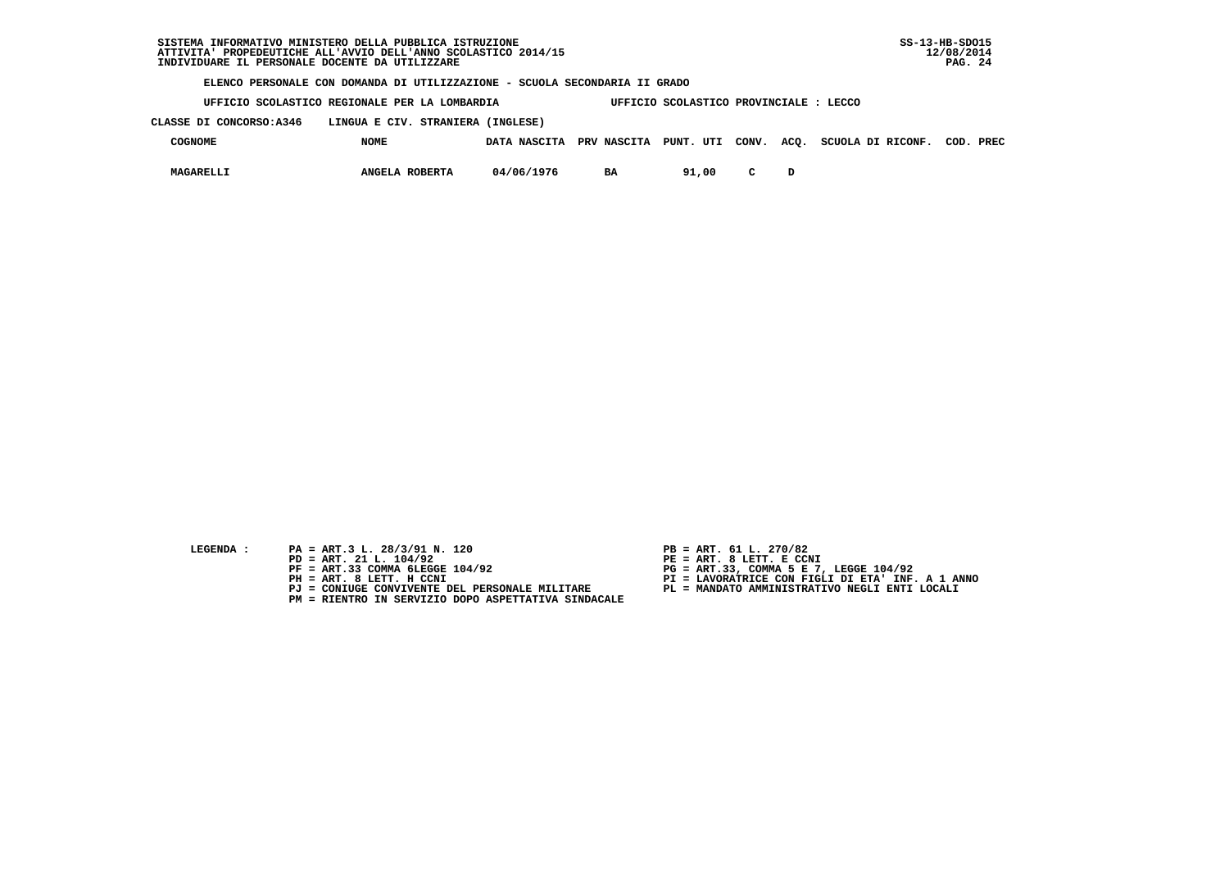| SISTEMA INFORMATIVO MINISTERO DELLA PUBBLICA ISTRUZIONE        | $SS-13-HB-SDO15$ |
|----------------------------------------------------------------|------------------|
| ATTIVITA' PROPEDEUTICHE ALL'AVVIO DELL'ANNO SCOLASTICO 2014/15 | 12/08/2014       |
| INDIVIDUARE IL PERSONALE DOCENTE DA UTILIZZARE                 | - 24<br>PAG.     |

 **UFFICIO SCOLASTICO REGIONALE PER LA LOMBARDIA UFFICIO SCOLASTICO PROVINCIALE : LECCO**

 **CLASSE DI CONCORSO:A346 LINGUA E CIV. STRANIERA (INGLESE)**

| COGNOME   | <b>NOME</b>    | DATA NASCITA | PRV NASCITA PUNT. UTI CONV. |       |        | ACQ. | SCUOLA DI RICONF. | COD. | PREC |
|-----------|----------------|--------------|-----------------------------|-------|--------|------|-------------------|------|------|
| MAGARELLI | ANGELA ROBERTA | 04/06/1976   | BA                          | 91,00 | $\sim$ |      |                   |      |      |

- 
- **LEGENDA :** PA = ART.3 L. 28/3/91 N. 120 <br>PD = ART. 21 L. 104/92 <br>PE = ART. 8 LETT. E CCN  **PD = ART. 21 L. 104/92 PE = ART. 8 LETT. E CCNI**
	-
	-
	-
	- **PM = RIENTRO IN SERVIZIO DOPO ASPETTATIVA SINDACALE**
- 
- 
- 
- **PF = ART.33 COMMA 6LEGGE 104/92 PG = ART.33, COMMA 5 E 7, LEGGE 104/92 PH = ART. 8 LETT. H CCNI PI = LAVORATRICE CON FIGLI DI ETA' INF. A 1 ANNO**
	- **PJ = CONIUGE CONVIVENTE DEL PERSONALE MILITARE PL = MANDATO AMMINISTRATIVO NEGLI ENTI LOCALI**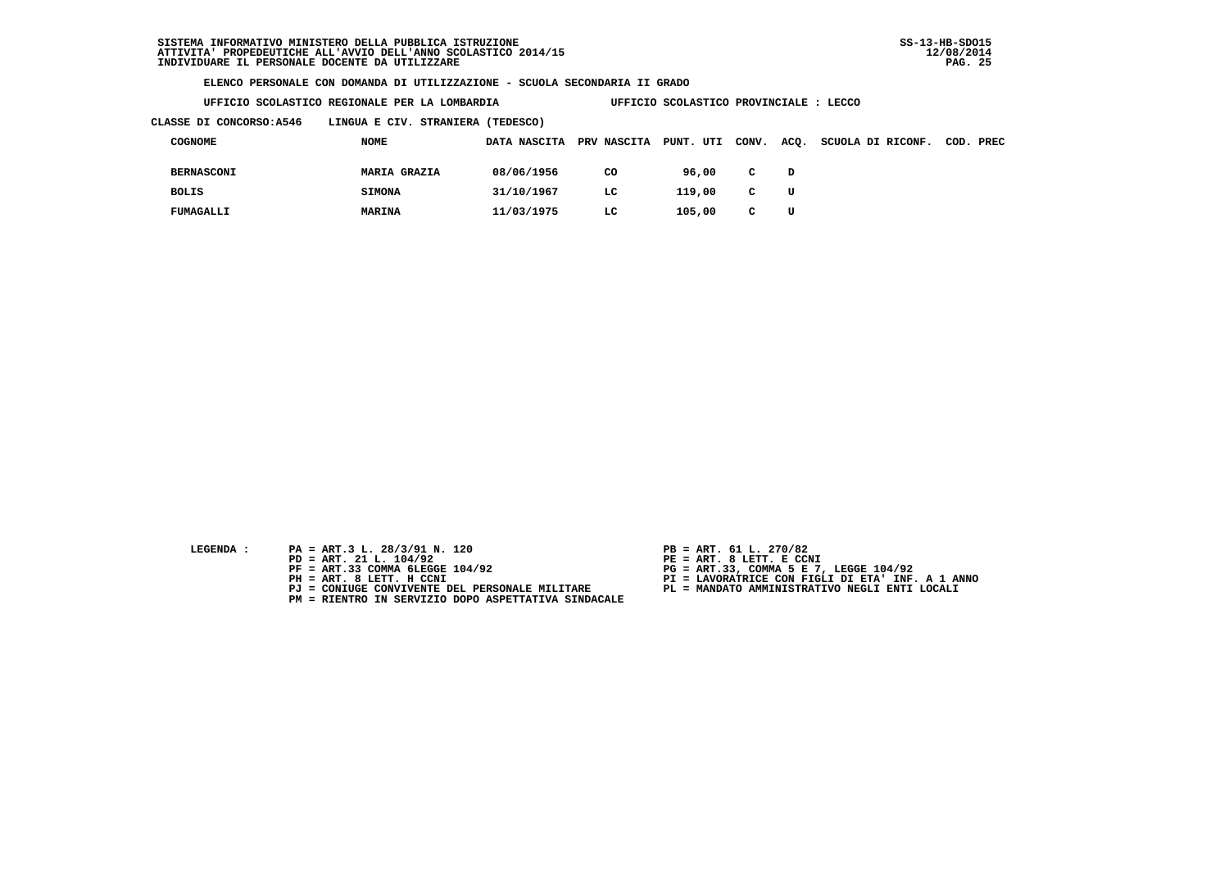**UFFICIO SCOLASTICO REGIONALE PER LA LOMBARDIA UFFICIO SCOLASTICO PROVINCIALE : LECCO**

 **CLASSE DI CONCORSO:A546 LINGUA E CIV. STRANIERA (TEDESCO)**

| COGNOME           | <b>NOME</b>         | DATA NASCITA | PRV NASCITA PUNT. UTI |        | CONV.        | ACQ. | SCUOLA DI RICONF. | COD. PREC |
|-------------------|---------------------|--------------|-----------------------|--------|--------------|------|-------------------|-----------|
| <b>BERNASCONI</b> | <b>MARIA GRAZIA</b> | 08/06/1956   | CO                    | 96,00  | $\mathbf{C}$ | D    |                   |           |
| <b>BOLIS</b>      | <b>SIMONA</b>       | 31/10/1967   | LC.                   | 119,00 | $\mathbf{C}$ | U    |                   |           |
| FUMAGALLI         | MARINA              | 11/03/1975   | LC                    | 105,00 | C            | U    |                   |           |

- **LEGENDA :** PA = ART.3 L. 28/3/91 N. 120 <br>PD = ART. 21 L. 104/92 <br>PE = ART. 8 LETT. E CCN
- **PD = ART. 21 L. 104/92 PE = ART. 8 LETT. E CCNI**
	-
	-
	-
	- **PM = RIENTRO IN SERVIZIO DOPO ASPETTATIVA SINDACALE**
- 
- 
- 
- **PF = ART.33 COMMA 6LEGGE 104/92 PG = ART.33, COMMA 5 E 7, LEGGE 104/92 PH = ART. 8 LETT. H CCNI PI = LAVORATRICE CON FIGLI DI ETA' INF. A 1 ANNO**
	- **PJ = CONIUGE CONVIVENTE DEL PERSONALE MILITARE PL = MANDATO AMMINISTRATIVO NEGLI ENTI LOCALI**
		-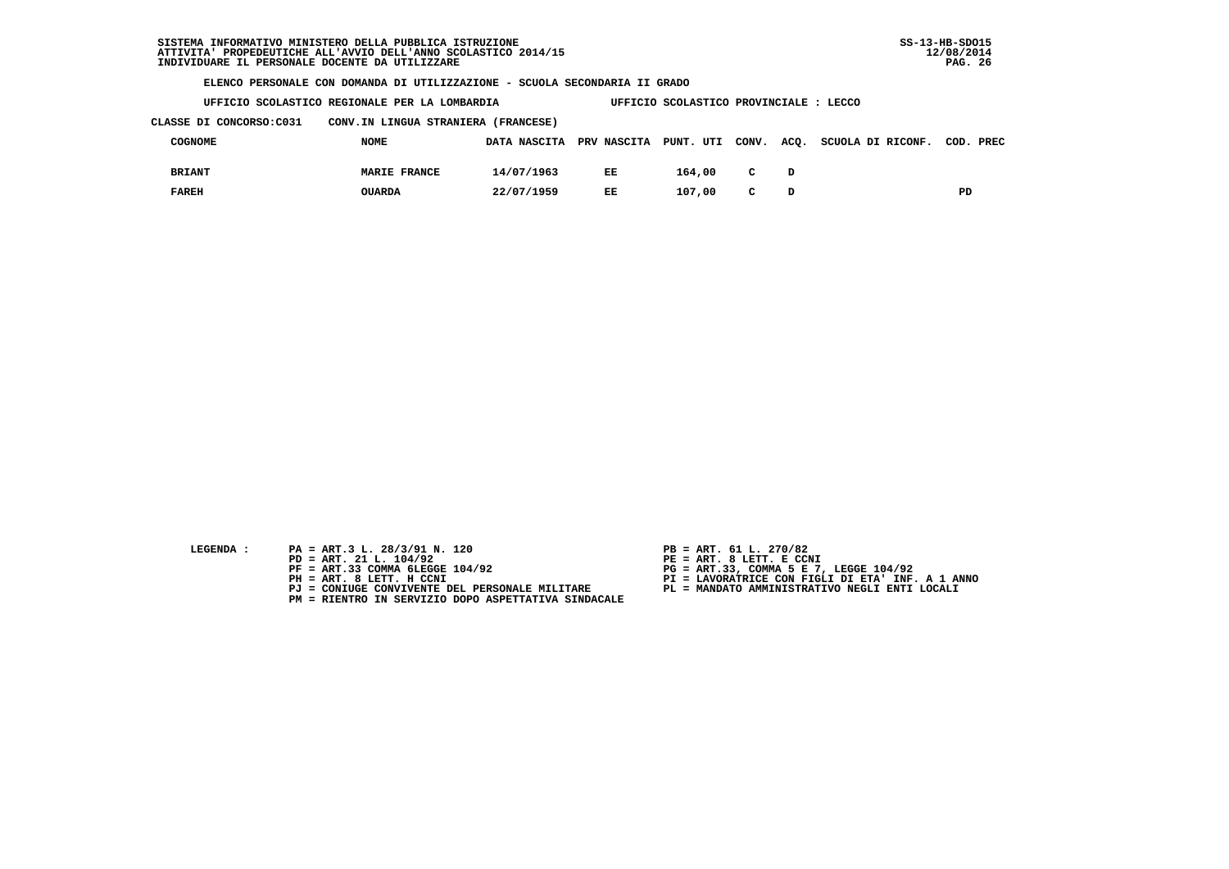| UFFICIO SCOLASTICO REGIONALE PER LA LOMBARDIA |  | UFFICIO SCOLASTICO PROVINCIALE : LECCO |  |
|-----------------------------------------------|--|----------------------------------------|--|
|                                               |  |                                        |  |

 **CLASSE DI CONCORSO:C031 CONV.IN LINGUA STRANIERA (FRANCESE)**

| COGNOME       | <b>NOME</b>         |            |     |        |              | DATA NASCITA PRV NASCITA PUNT. UTI CONV. ACO. SCUOLA DI RICONF. COD. PREC |    |
|---------------|---------------------|------------|-----|--------|--------------|---------------------------------------------------------------------------|----|
| <b>BRIANT</b> | <b>MARIE FRANCE</b> | 14/07/1963 | EE  | 164,00 | $\mathbf{C}$ |                                                                           |    |
| <b>FAREH</b>  | <b>OUARDA</b>       | 22/07/1959 | EE. | 107,00 | $\mathbf{C}$ |                                                                           | PD |

| LEGENDA |  |
|---------|--|
|         |  |
|         |  |

- **PA = ART.3 L. 28/3/91 N. 120 PB = ART. 61 L. 270/82**<br> **PD = ART. 21 L. 104/92 PE = ART. 8 LETT. E CCN**
- **PD = ART. 21 L. 104/92 PE = ART. 8 LETT. E CCNI**
	-
	-
	-
	- **PM = RIENTRO IN SERVIZIO DOPO ASPETTATIVA SINDACALE**
- 
- 
- 
- **PF = ART.33 COMMA 6LEGGE 104/92 PG = ART.33, COMMA 5 E 7, LEGGE 104/92 PH = ART. 8 LETT. H CCNI PI = LAVORATRICE CON FIGLI DI ETA' INF. A 1 ANNO**
	- **PJ = CONIUGE CONVIVENTE DEL PERSONALE MILITARE PL = MANDATO AMMINISTRATIVO NEGLI ENTI LOCALI**
		-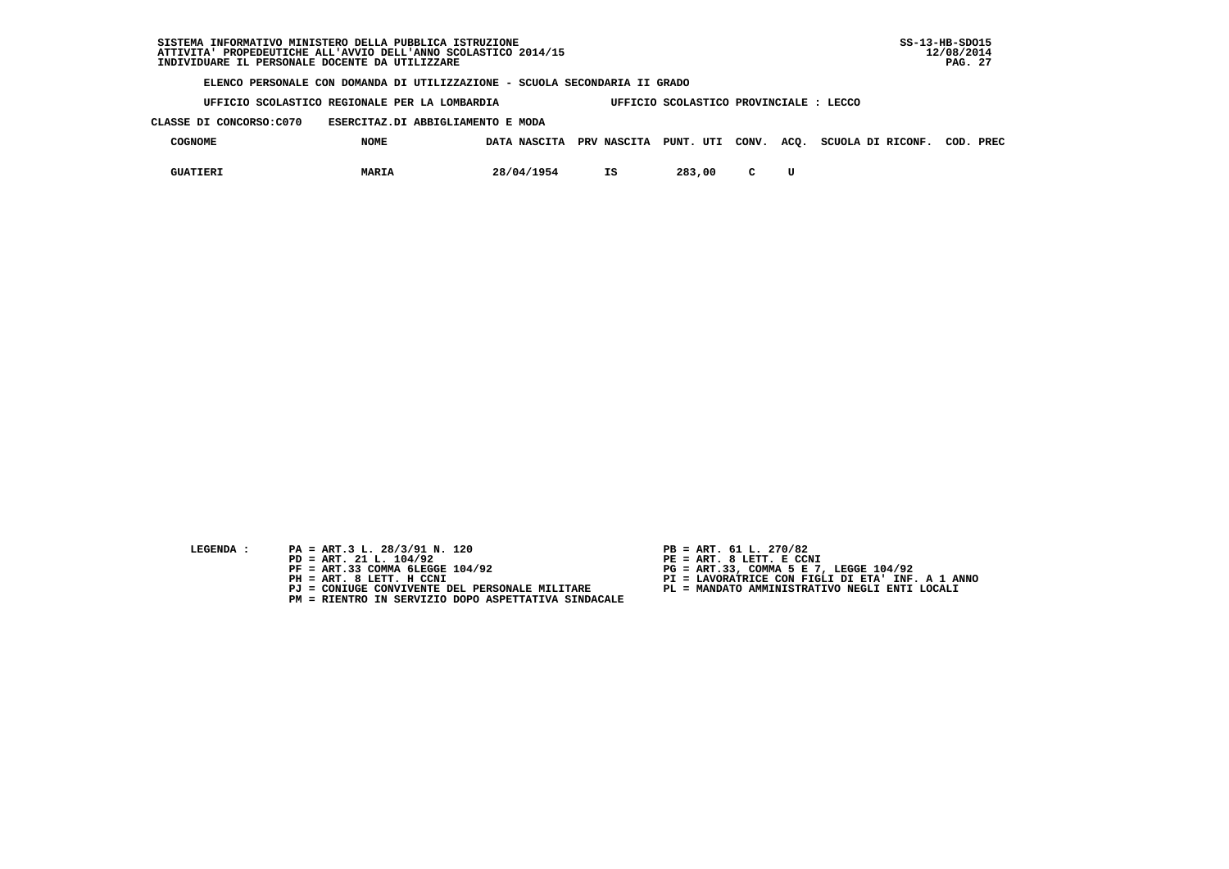**UFFICIO SCOLASTICO REGIONALE PER LA LOMBARDIA UFFICIO SCOLASTICO PROVINCIALE : LECCO**

 **CLASSE DI CONCORSO:C070 ESERCITAZ.DI ABBIGLIAMENTO E MODA**

| <b>COGNOME</b>  | <b>NOME</b>  |            |    |        |  | DATA NASCITA PRV NASCITA PUNT. UTI CONV. ACO. SCUOLA DI RICONF. | COD. | PREC |
|-----------------|--------------|------------|----|--------|--|-----------------------------------------------------------------|------|------|
| <b>GUATIERI</b> | <b>MARIA</b> | 28/04/1954 | IS | 283,00 |  |                                                                 |      |      |

- **LEGENDA :** PA = ART.3 L. 28/3/91 N. 120 <br>PD = ART. 21 L. 104/92 <br>PE = ART. 8 LETT. E CCN
- **PD = ART. 21 L. 104/92 PE = ART. 8 LETT. E CCNI**
	-
	-
	-
	- **PM = RIENTRO IN SERVIZIO DOPO ASPETTATIVA SINDACALE**
- 
- 
- 
- **PF = ART.33 COMMA 6LEGGE 104/92 PG = ART.33, COMMA 5 E 7, LEGGE 104/92 PH = ART. 8 LETT. H CCNI PI = LAVORATRICE CON FIGLI DI ETA' INF. A 1 ANNO**
	- **PJ = CONIUGE CONVIVENTE DEL PERSONALE MILITARE PL = MANDATO AMMINISTRATIVO NEGLI ENTI LOCALI**
		-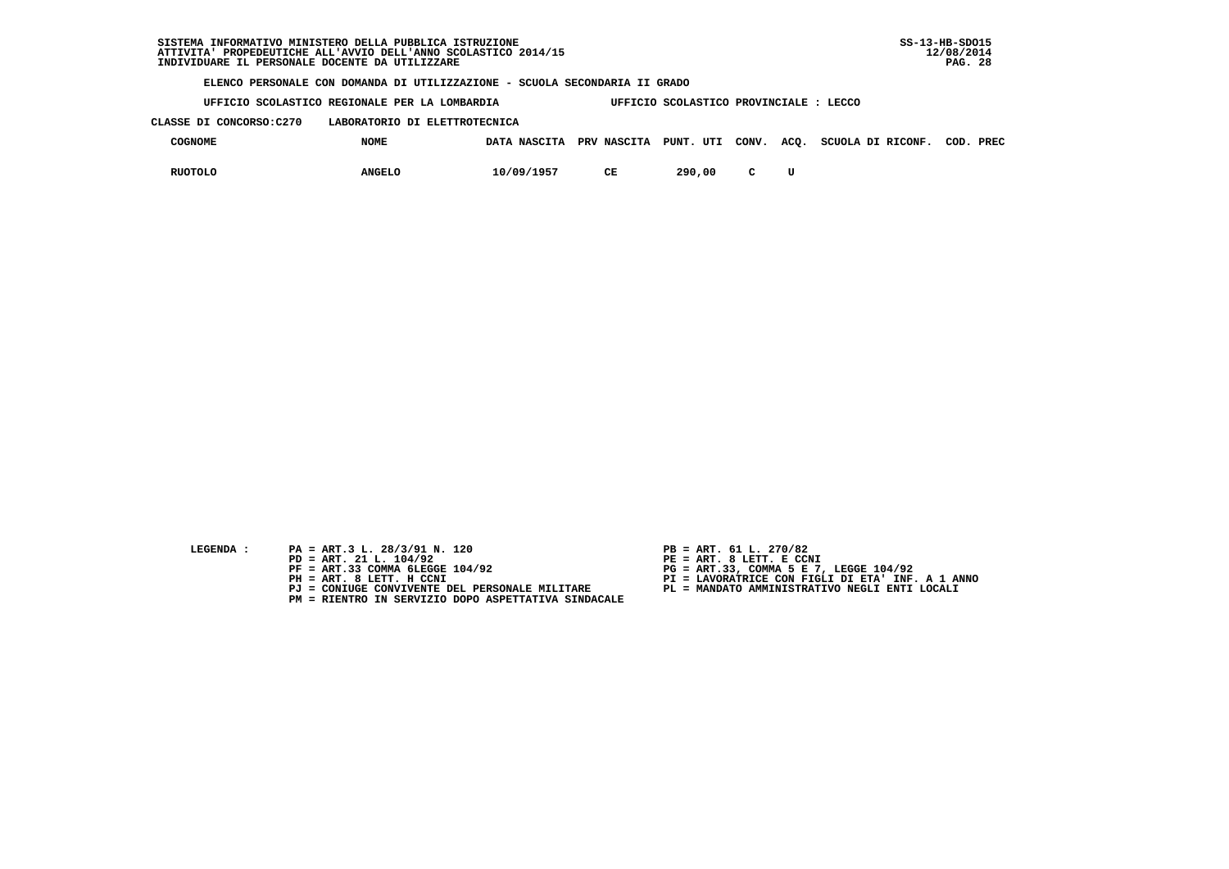**UFFICIO SCOLASTICO REGIONALE PER LA LOMBARDIA UFFICIO SCOLASTICO PROVINCIALE : LECCO**

 **CLASSE DI CONCORSO:C270 LABORATORIO DI ELETTROTECNICA**

| <b>COGNOME</b> | <b>NOME</b>   | DATA NASCITA | PRV NASCITA | PUNT. UTI CONV. ACQ. |  | SCUOLA DI RICONF. | COD. | PREC |
|----------------|---------------|--------------|-------------|----------------------|--|-------------------|------|------|
| <b>RUOTOLO</b> | <b>ANGELO</b> | 10/09/1957   | CЕ          | 290,00               |  |                   |      |      |

- **LEGENDA :** PA = ART.3 L. 28/3/91 N. 120 <br>PD = ART. 21 L. 104/92 <br>PE = ART. 8 LETT. E CCN
- **PD = ART. 21 L. 104/92 PE = ART. 8 LETT. E CCNI**
	-
	-
	-
	- **PM = RIENTRO IN SERVIZIO DOPO ASPETTATIVA SINDACALE**
- 
- 
- 
- **PF = ART.33 COMMA 6LEGGE 104/92 PG = ART.33, COMMA 5 E 7, LEGGE 104/92 PH = ART. 8 LETT. H CCNI PI = LAVORATRICE CON FIGLI DI ETA' INF. A 1 ANNO**
	- **PJ = CONIUGE CONVIVENTE DEL PERSONALE MILITARE PL = MANDATO AMMINISTRATIVO NEGLI ENTI LOCALI**
		-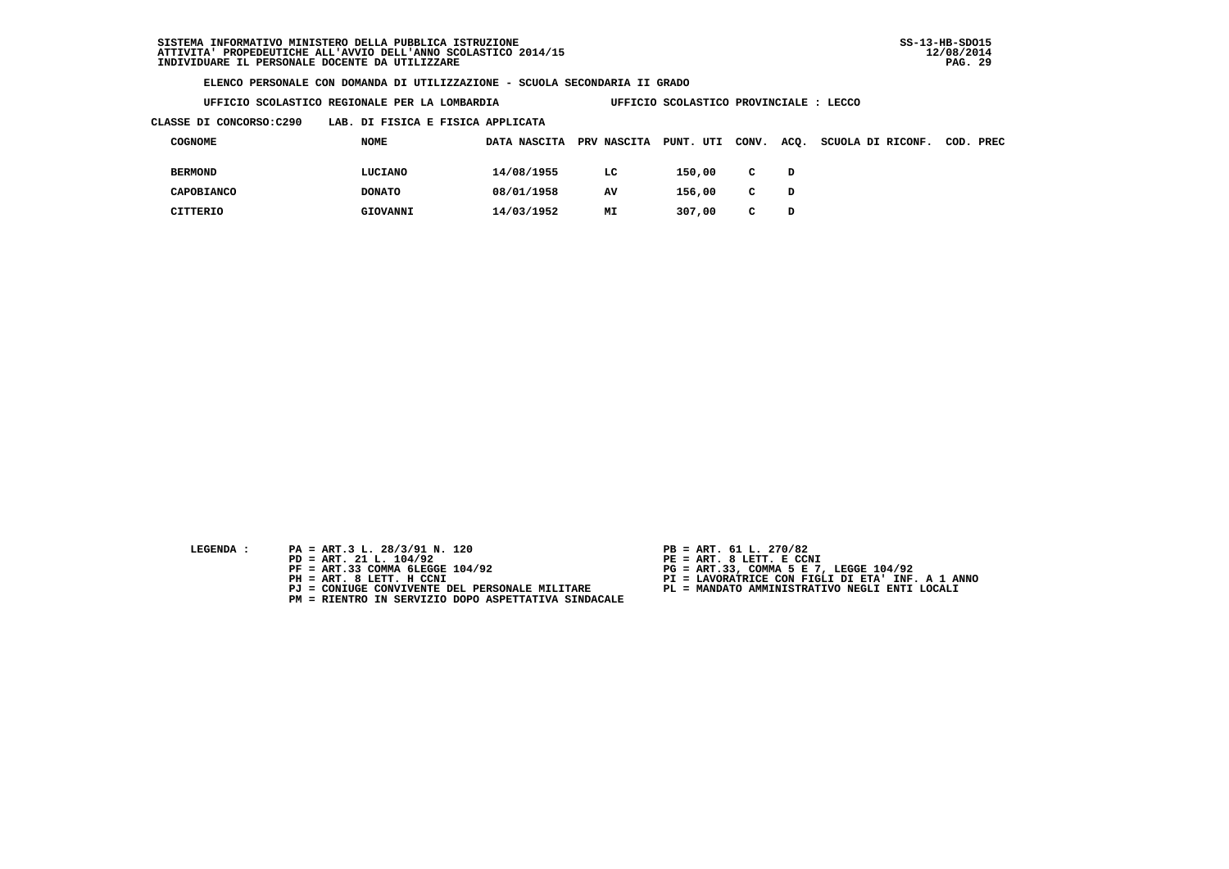**UFFICIO SCOLASTICO REGIONALE PER LA LOMBARDIA UFFICIO SCOLASTICO PROVINCIALE : LECCO**

 **CLASSE DI CONCORSO:C290 LAB. DI FISICA E FISICA APPLICATA**

| COGNOME        | NOME          | DATA NASCITA | PRV NASCITA | PUNT. UTI | CONV.        | ACQ. | SCUOLA DI RICONF. | COD. PREC |
|----------------|---------------|--------------|-------------|-----------|--------------|------|-------------------|-----------|
| <b>BERMOND</b> | LUCIANO       | 14/08/1955   | LC          | 150,00    | $\mathbf{C}$ | D    |                   |           |
| CAPOBIANCO     | <b>DONATO</b> | 08/01/1958   | AV          | 156,00    | $\mathbf{C}$ | D    |                   |           |
| CITTERIO       | GIOVANNI      | 14/03/1952   | MI          | 307,00    | C.           | D    |                   |           |

- **LEGENDA :** PA = ART.3 L. 28/3/91 N. 120 <br>PD = ART. 21 L. 104/92 <br>PE = ART. 8 LETT. E CCN
- **PD = ART. 21 L. 104/92 PE = ART. 8 LETT. E CCNI**
	-
	-
	-
	- **PM = RIENTRO IN SERVIZIO DOPO ASPETTATIVA SINDACALE**
- 
- 
- 
- **PF = ART.33 COMMA 6LEGGE 104/92 PG = ART.33, COMMA 5 E 7, LEGGE 104/92 PH = ART. 8 LETT. H CCNI PI = LAVORATRICE CON FIGLI DI ETA' INF. A 1 ANNO**
	- **PJ = CONIUGE CONVIVENTE DEL PERSONALE MILITARE PL = MANDATO AMMINISTRATIVO NEGLI ENTI LOCALI**
		-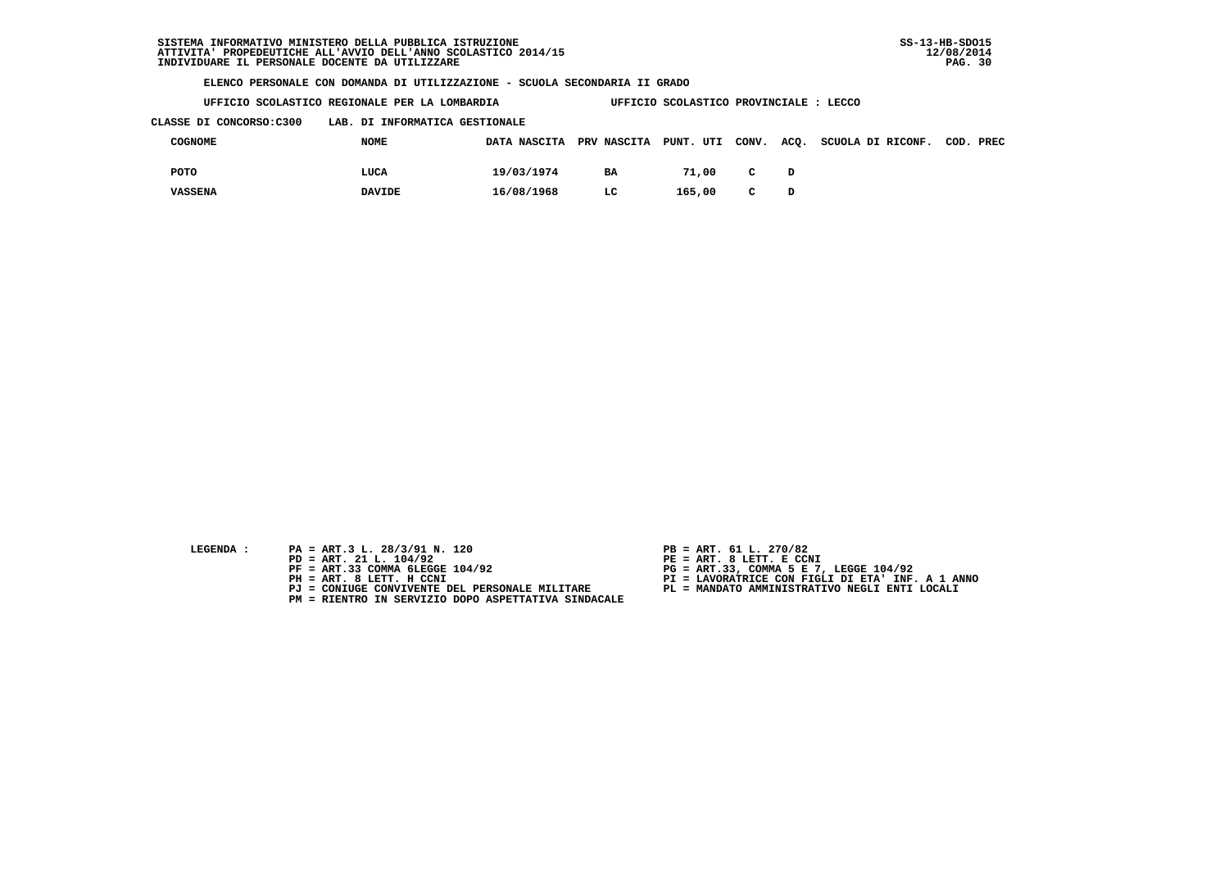| UFFICIO SCOLASTICO REGIONALE PER LA LOMBARDIA | UFFICIO SCOLASTICO PROVINCIALE : LECCO |
|-----------------------------------------------|----------------------------------------|
|                                               |                                        |

 **CLASSE DI CONCORSO:C300 LAB. DI INFORMATICA GESTIONALE**

| COGNOME        | <b>NOME</b>   | DATA NASCITA PRV NASCITA PUNT. UTI CONV. |    |        |              | ACQ. SCUOLA DI RICONF. COD. PREC |  |
|----------------|---------------|------------------------------------------|----|--------|--------------|----------------------------------|--|
| POTO           | LUCA          | 19/03/1974                               | BA | 71,00  | $\mathbf{C}$ |                                  |  |
| <b>VASSENA</b> | <b>DAVIDE</b> | 16/08/1968                               | LC | 165,00 | $\mathbf{C}$ |                                  |  |

- 
- **LEGENDA :** PA = ART.3 L. 28/3/91 N. 120 <br>PD = ART. 21 L. 104/92 <br>PE = ART. 8 LETT. E CCN  **PD = ART. 21 L. 104/92 PE = ART. 8 LETT. E CCNI**
	-
	-
	-
	- **PM = RIENTRO IN SERVIZIO DOPO ASPETTATIVA SINDACALE**
- 
- 
- 
- **PF = ART.33 COMMA 6LEGGE 104/92 PG = ART.33, COMMA 5 E 7, LEGGE 104/92 PH = ART. 8 LETT. H CCNI PI = LAVORATRICE CON FIGLI DI ETA' INF. A 1 ANNO**
	- **PJ = CONIUGE CONVIVENTE DEL PERSONALE MILITARE PL = MANDATO AMMINISTRATIVO NEGLI ENTI LOCALI**
		-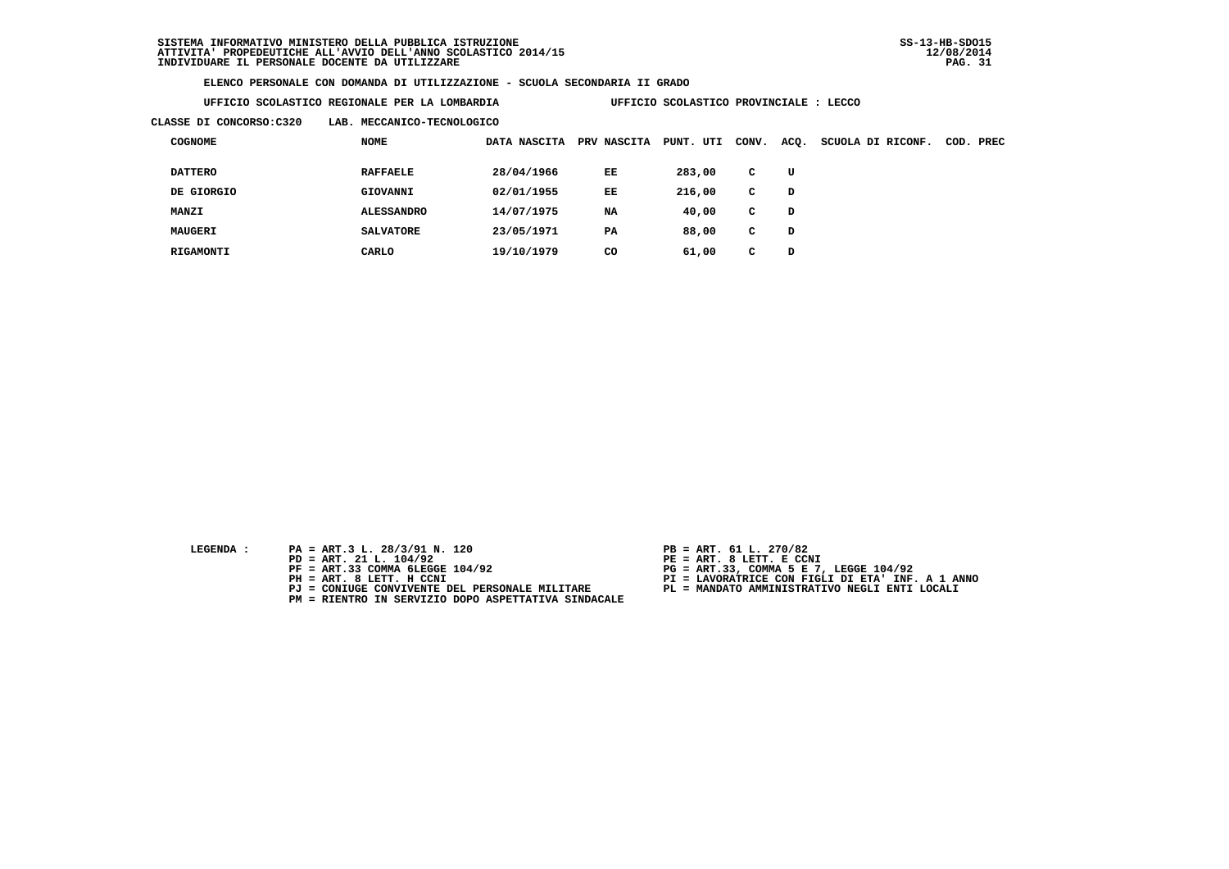| UFFICIO SCOLASTICO REGIONALE PER LA LOMBARDIA |  |
|-----------------------------------------------|--|
|                                               |  |

**UFFICIO SCOLASTICO PROVINCIALE : LECCO** 

 **CLASSE DI CONCORSO:C320 LAB. MECCANICO-TECNOLOGICO**

| <b>COGNOME</b> | <b>NOME</b>       | DATA NASCITA | <b>PRV NASCITA</b> | PUNT. UTI | CONV. | ACQ. | SCUOLA DI RICONF. | COD. PREC |
|----------------|-------------------|--------------|--------------------|-----------|-------|------|-------------------|-----------|
| <b>DATTERO</b> | <b>RAFFAELE</b>   | 28/04/1966   | EE                 | 283,00    | C     | U    |                   |           |
| DE GIORGIO     | GIOVANNI          | 02/01/1955   | EE                 | 216,00    | C     | D    |                   |           |
| <b>MANZI</b>   | <b>ALESSANDRO</b> | 14/07/1975   | NA                 | 40,00     | C     | D    |                   |           |
| MAUGERI        | <b>SALVATORE</b>  | 23/05/1971   | PA                 | 88,00     | C     | D    |                   |           |
| RIGAMONTI      | CARLO             | 19/10/1979   | CO                 | 61,00     | c     | D    |                   |           |

- **LEGENDA :** PA = ART.3 L. 28/3/91 N. 120 <br>PD = ART. 21 L. 104/92 <br>PE = ART. 8 LETT. E CCN
- **PD = ART. 21 L. 104/92 PE = ART. 8 LETT. E CCNI**
	-
	-
	-
	- **PM = RIENTRO IN SERVIZIO DOPO ASPETTATIVA SINDACALE**
- 
- 
- 
- **PF = ART.33 COMMA 6LEGGE 104/92 PG = ART.33, COMMA 5 E 7, LEGGE 104/92 PH = ART. 8 LETT. H CCNI PI = LAVORATRICE CON FIGLI DI ETA' INF. A 1 ANNO**
	- **PJ = CONIUGE CONVIVENTE DEL PERSONALE MILITARE PL = MANDATO AMMINISTRATIVO NEGLI ENTI LOCALI**
		-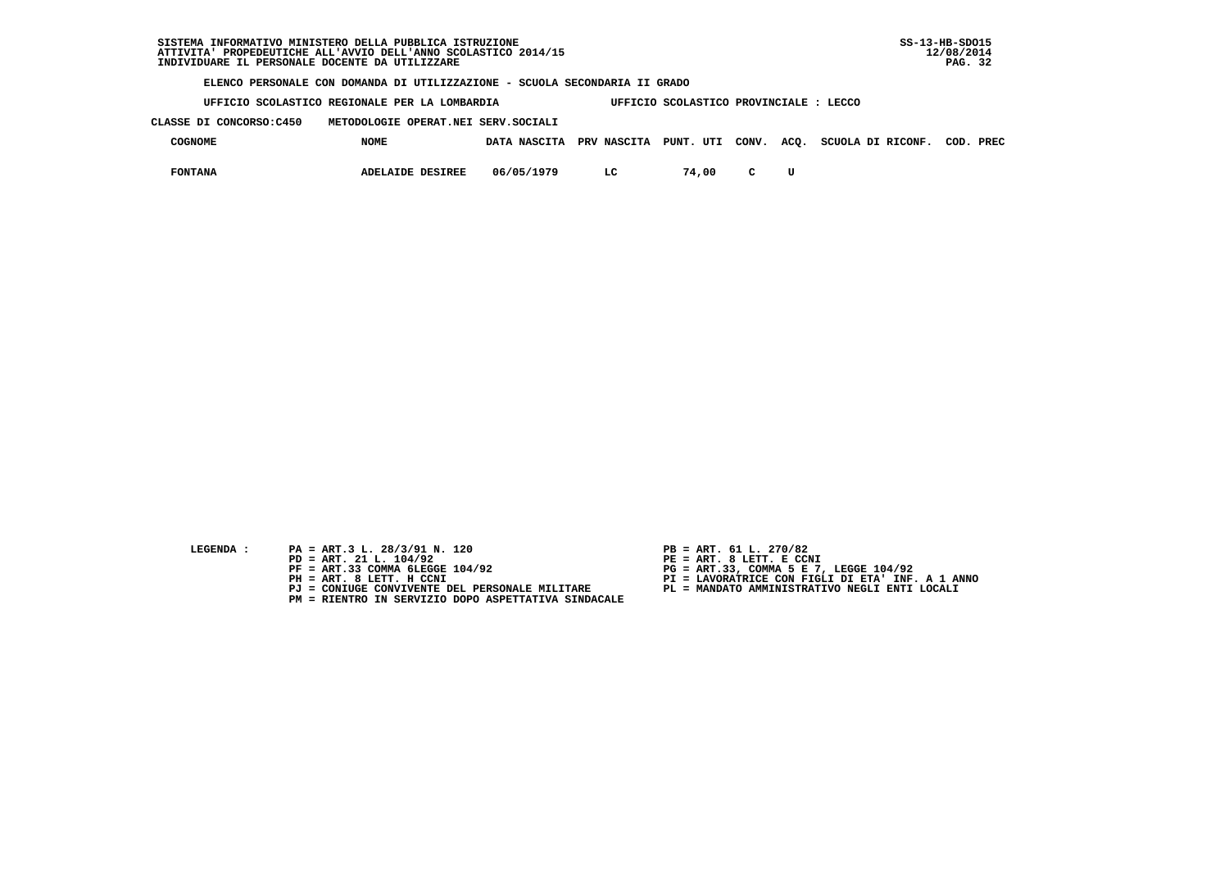| SISTEMA INFORMATIVO MINISTERO DELLA PUBBLICA ISTRUZIONE        | $SS-13-HB-SDO15$ |
|----------------------------------------------------------------|------------------|
| ATTIVITA' PROPEDEUTICHE ALL'AVVIO DELL'ANNO SCOLASTICO 2014/15 | 12/08/2014       |
| INDIVIDUARE IL PERSONALE DOCENTE DA UTILIZZARE                 | -32<br>PAG.      |

 **UFFICIO SCOLASTICO REGIONALE PER LA LOMBARDIA UFFICIO SCOLASTICO PROVINCIALE : LECCO**

 **CLASSE DI CONCORSO:C450 METODOLOGIE OPERAT.NEI SERV.SOCIALI**

| COGNOME        | <b>NOME</b>             | DATA NASCITA | <b>PRV NASCITA</b> | PUNT. UTI CONV. |        | ACQ. | SCUOLA DI RICONF. | COD. | PREC |
|----------------|-------------------------|--------------|--------------------|-----------------|--------|------|-------------------|------|------|
| <b>FONTANA</b> | <b>ADELAIDE DESIREE</b> | 06/05/1979   | LC                 | 74,00           | $\sim$ |      |                   |      |      |

- **LEGENDA :** PA = ART.3 L. 28/3/91 N. 120 <br>PD = ART. 21 L. 104/92 <br>PE = ART. 8 LETT. E CCN
- **PD = ART. 21 L. 104/92 PE = ART. 8 LETT. E CCNI**
	-
	-
	-
	- **PM = RIENTRO IN SERVIZIO DOPO ASPETTATIVA SINDACALE**
- 
- 
- 
- **PF = ART.33 COMMA 6LEGGE 104/92 PG = ART.33, COMMA 5 E 7, LEGGE 104/92 PH = ART. 8 LETT. H CCNI PI = LAVORATRICE CON FIGLI DI ETA' INF. A 1 ANNO**
	- **PJ = CONIUGE CONVIVENTE DEL PERSONALE MILITARE PL = MANDATO AMMINISTRATIVO NEGLI ENTI LOCALI**
		-